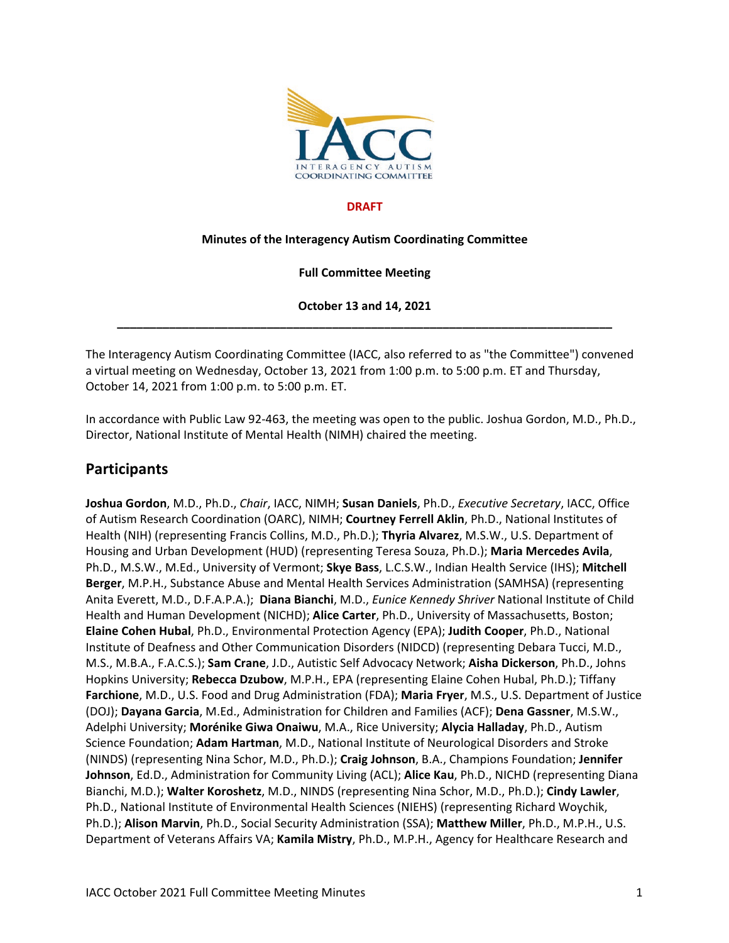

#### **DRAFT**

#### **Minutes of the Interagency Autism Coordinating Committee**

#### **Full Committee Meeting**

**October 13 and 14, 2021 \_\_\_\_\_\_\_\_\_\_\_\_\_\_\_\_\_\_\_\_\_\_\_\_\_\_\_\_\_\_\_\_\_\_\_\_\_\_\_\_\_\_\_\_\_\_\_\_\_\_\_\_\_\_\_\_\_\_\_\_\_\_\_\_\_\_\_\_\_\_\_\_\_\_\_\_**

The Interagency Autism Coordinating Committee (IACC, also referred to as "the Committee") convened a virtual meeting on Wednesday, October 13, 2021 from 1:00 p.m. to 5:00 p.m. ET and Thursday, October 14, 2021 from 1:00 p.m. to 5:00 p.m. ET.

In accordance with Public Law 92-463, the meeting was open to the public. Joshua Gordon, M.D., Ph.D., Director, National Institute of Mental Health (NIMH) chaired the meeting.

#### **Participants**

**Joshua Gordon**, M.D., Ph.D., *Chair*, IACC, NIMH; **Susan Daniels**, Ph.D., *Executive Secretary*, IACC, Office of Autism Research Coordination (OARC), NIMH; **Courtney Ferrell Aklin**, Ph.D., National Institutes of Health (NIH) (representing Francis Collins, M.D., Ph.D.); **Thyria Alvarez**, M.S.W., U.S. Department of Housing and Urban Development (HUD) (representing Teresa Souza, Ph.D.); **Maria Mercedes Avila**, Ph.D., M.S.W., M.Ed., University of Vermont; **Skye Bass**, L.C.S.W., Indian Health Service (IHS); **Mitchell Berger**, M.P.H., Substance Abuse and Mental Health Services Administration (SAMHSA) (representing Anita Everett, M.D., D.F.A.P.A.); **Diana Bianchi**, M.D., *Eunice Kennedy Shriver* National Institute of Child Health and Human Development (NICHD); **Alice Carter**, Ph.D., University of Massachusetts, Boston; **Elaine Cohen Hubal**, Ph.D., Environmental Protection Agency (EPA); **Judith Cooper**, Ph.D., National Institute of Deafness and Other Communication Disorders (NIDCD) (representing Debara Tucci, M.D., M.S., M.B.A., F.A.C.S.); **Sam Crane**, J.D., Autistic Self Advocacy Network; **Aisha Dickerson**, Ph.D., Johns Hopkins University; **Rebecca Dzubow**, M.P.H., EPA (representing Elaine Cohen Hubal, Ph.D.); Tiffany **Farchione**, M.D., U.S. Food and Drug Administration (FDA); **Maria Fryer**, M.S., U.S. Department of Justice (DOJ); **Dayana Garcia**, M.Ed., Administration for Children and Families (ACF); **Dena Gassner**, M.S.W., Adelphi University; **Morénike Giwa Onaiwu**, M.A., Rice University; **Alycia Halladay**, Ph.D., Autism Science Foundation; **Adam Hartman**, M.D., National Institute of Neurological Disorders and Stroke (NINDS) (representing Nina Schor, M.D., Ph.D.); **Craig Johnson**, B.A., Champions Foundation; **Jennifer Johnson**, Ed.D., Administration for Community Living (ACL); **Alice Kau**, Ph.D., NICHD (representing Diana Bianchi, M.D.); **Walter Koroshetz**, M.D., NINDS (representing Nina Schor, M.D., Ph.D.); **Cindy Lawler**, Ph.D., National Institute of Environmental Health Sciences (NIEHS) (representing Richard Woychik, Ph.D.); **Alison Marvin**, Ph.D., Social Security Administration (SSA); **Matthew Miller**, Ph.D., M.P.H., U.S. Department of Veterans Affairs VA; **Kamila Mistry**, Ph.D., M.P.H., Agency for Healthcare Research and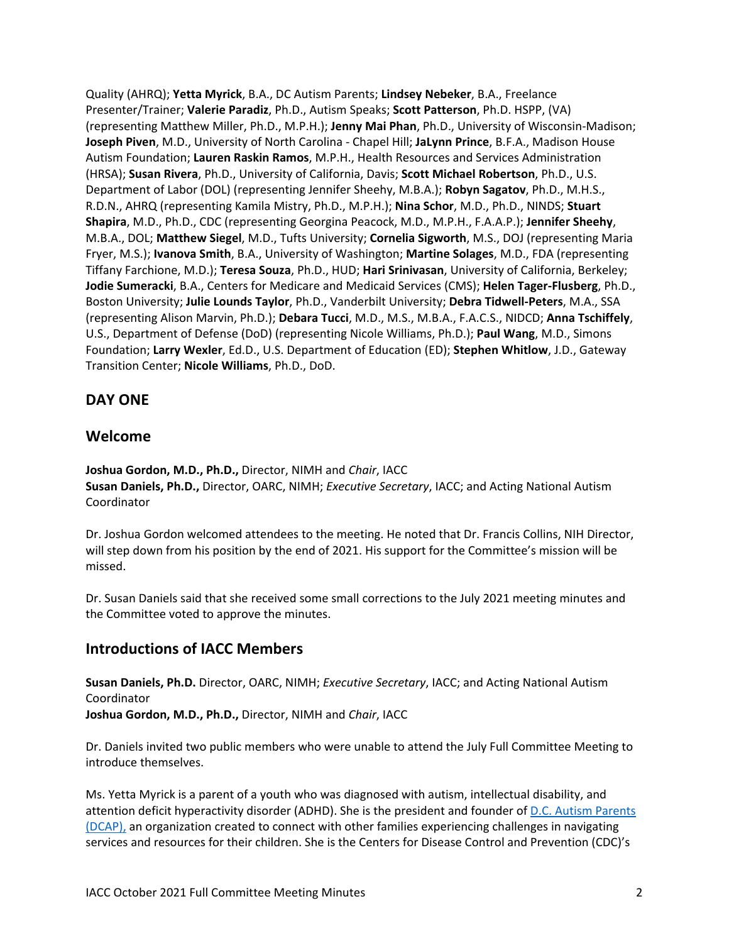Quality (AHRQ); **Yetta Myrick**, B.A., DC Autism Parents; **Lindsey Nebeker**, B.A., Freelance Presenter/Trainer; **Valerie Paradiz**, Ph.D., Autism Speaks; **Scott Patterson**, Ph.D. HSPP, (VA) (representing Matthew Miller, Ph.D., M.P.H.); **Jenny Mai Phan**, Ph.D., University of Wisconsin-Madison; **Joseph Piven**, M.D., University of North Carolina - Chapel Hill; **JaLynn Prince**, B.F.A., Madison House Autism Foundation; **Lauren Raskin Ramos**, M.P.H., Health Resources and Services Administration (HRSA); **Susan Rivera**, Ph.D., University of California, Davis; **Scott Michael Robertson**, Ph.D., U.S. Department of Labor (DOL) (representing Jennifer Sheehy, M.B.A.); **Robyn Sagatov**, Ph.D., M.H.S., R.D.N., AHRQ (representing Kamila Mistry, Ph.D., M.P.H.); **Nina Schor**, M.D., Ph.D., NINDS; **Stuart Shapira**, M.D., Ph.D., CDC (representing Georgina Peacock, M.D., M.P.H., F.A.A.P.); **Jennifer Sheehy**, M.B.A., DOL; **Matthew Siegel**, M.D., Tufts University; **Cornelia Sigworth**, M.S., DOJ (representing Maria Fryer, M.S.); **Ivanova Smith**, B.A., University of Washington; **Martine Solages**, M.D., FDA (representing Tiffany Farchione, M.D.); **Teresa Souza**, Ph.D., HUD; **Hari Srinivasan**, University of California, Berkeley; **Jodie Sumeracki**, B.A., Centers for Medicare and Medicaid Services (CMS); **Helen Tager-Flusberg**, Ph.D., Boston University; **Julie Lounds Taylor**, Ph.D., Vanderbilt University; **Debra Tidwell-Peters**, M.A., SSA (representing Alison Marvin, Ph.D.); **Debara Tucci**, M.D., M.S., M.B.A., F.A.C.S., NIDCD; **Anna Tschiffely**, U.S., Department of Defense (DoD) (representing Nicole Williams, Ph.D.); **Paul Wang**, M.D., Simons Foundation; **Larry Wexler**, Ed.D., U.S. Department of Education (ED); **Stephen Whitlow**, J.D., Gateway Transition Center; **Nicole Williams**, Ph.D., DoD.

## **DAY ONE**

## **Welcome**

**Joshua Gordon, M.D., Ph.D.,** Director, NIMH and *Chair*, IACC **Susan Daniels, Ph.D.,** Director, OARC, NIMH; *Executive Secretary*, IACC; and Acting National Autism Coordinator

Dr. Joshua Gordon welcomed attendees to the meeting. He noted that Dr. Francis Collins, NIH Director, will step down from his position by the end of 2021. His support for the Committee's mission will be missed.

Dr. Susan Daniels said that she received some small corrections to the July 2021 meeting minutes and the Committee voted to approve the minutes.

## **Introductions of IACC Members**

**Susan Daniels, Ph.D.** Director, OARC, NIMH; *Executive Secretary*, IACC; and Acting National Autism Coordinator **Joshua Gordon, M.D., Ph.D.,** Director, NIMH and *Chair*, IACC

Dr. Daniels invited two public members who were unable to attend the July Full Committee Meeting to introduce themselves.

Ms. Yetta Myrick is a parent of a youth who was diagnosed with autism, intellectual disability, and attention deficit hyperactivity disorder (ADHD). She is the president and founder o[f D.C. Autism Parents](https://dcautismparents.org/)  [\(DCAP\),](https://dcautismparents.org/) an organization created to connect with other families experiencing challenges in navigating services and resources for their children. She is the Centers for Disease Control and Prevention (CDC)'s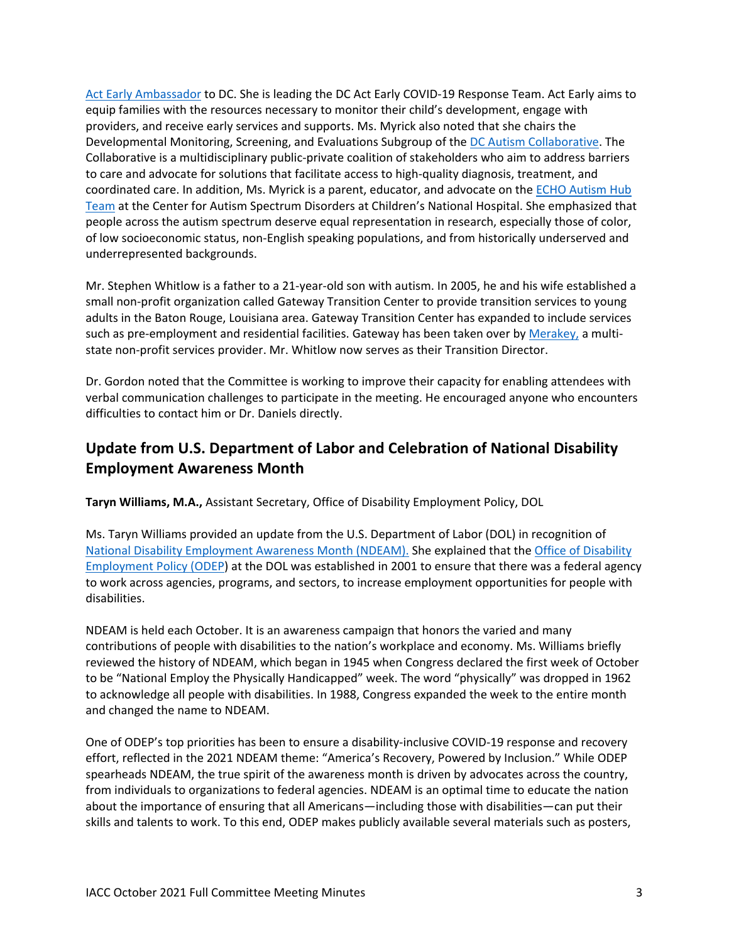[Act Early Ambassador](https://www.cdc.gov/ncbddd/actearly/about-initiative.html#ambassadors) to DC. She is leading the DC Act Early COVID-19 Response Team. Act Early aims to equip families with the resources necessary to monitor their child's development, engage with providers, and receive early services and supports. Ms. Myrick also noted that she chairs the Developmental Monitoring, Screening, and Evaluations Subgroup of the [DC Autism Collaborative.](https://childrensnational.org/advocacy-and-outreach/child-health-advocacy-institute/community-mental-health/mental-health-initiatives-and-activities/dc-autism-collaborative) The Collaborative is a multidisciplinary public-private coalition of stakeholders who aim to address barriers to care and advocate for solutions that facilitate access to high-quality diagnosis, treatment, and coordinated care. In addition, Ms. Myrick is a parent, educator, and advocate on the [ECHO Autism Hub](https://childrensnational.org/departments/center-for-neuroscience-and-behavioral-medicine/programs-and-services/center-for-autism-spectrum-disorders/resources-for-providers)  [Team](https://childrensnational.org/departments/center-for-neuroscience-and-behavioral-medicine/programs-and-services/center-for-autism-spectrum-disorders/resources-for-providers) at the Center for Autism Spectrum Disorders at Children's National Hospital. She emphasized that people across the autism spectrum deserve equal representation in research, especially those of color, of low socioeconomic status, non-English speaking populations, and from historically underserved and underrepresented backgrounds.

Mr. Stephen Whitlow is a father to a 21-year-old son with autism. In 2005, he and his wife established a small non-profit organization called Gateway Transition Center to provide transition services to young adults in the Baton Rouge, Louisiana area. Gateway Transition Center has expanded to include services such as pre-employment and residential facilities. Gateway has been taken over by [Merakey,](https://www.merakey.org/) a multistate non-profit services provider. Mr. Whitlow now serves as their Transition Director.

Dr. Gordon noted that the Committee is working to improve their capacity for enabling attendees with verbal communication challenges to participate in the meeting. He encouraged anyone who encounters difficulties to contact him or Dr. Daniels directly.

# **Update from U.S. Department of Labor and Celebration of National Disability Employment Awareness Month**

**Taryn Williams, M.A.,** Assistant Secretary, Office of Disability Employment Policy, DOL

Ms. Taryn Williams provided an update from the U.S. Department of Labor (DOL) in recognition of [National Disability Employment Awareness Month \(NDEAM\).](https://www.dol.gov/agencies/odep/initiatives/ndeam) She explained that the [Office of Disability](https://www.dol.gov/agencies/odep)  [Employment](https://www.dol.gov/agencies/odep) Policy (ODEP) at the DOL was established in 2001 to ensure that there was a federal agency to work across agencies, programs, and sectors, to increase employment opportunities for people with disabilities.

NDEAM is held each October. It is an awareness campaign that honors the varied and many contributions of people with disabilities to the nation's workplace and economy. Ms. Williams briefly reviewed the history of NDEAM, which began in 1945 when Congress declared the first week of October to be "National Employ the Physically Handicapped" week. The word "physically" was dropped in 1962 to acknowledge all people with disabilities. In 1988, Congress expanded the week to the entire month and changed the name to NDEAM.

One of ODEP's top priorities has been to ensure a disability-inclusive COVID-19 response and recovery effort, reflected in the 2021 NDEAM theme: "America's Recovery, Powered by Inclusion." While ODEP spearheads NDEAM, the true spirit of the awareness month is driven by advocates across the country, from individuals to organizations to federal agencies. NDEAM is an optimal time to educate the nation about the importance of ensuring that all Americans—including those with disabilities—can put their skills and talents to work. To this end, ODEP makes publicly available several materials such as posters,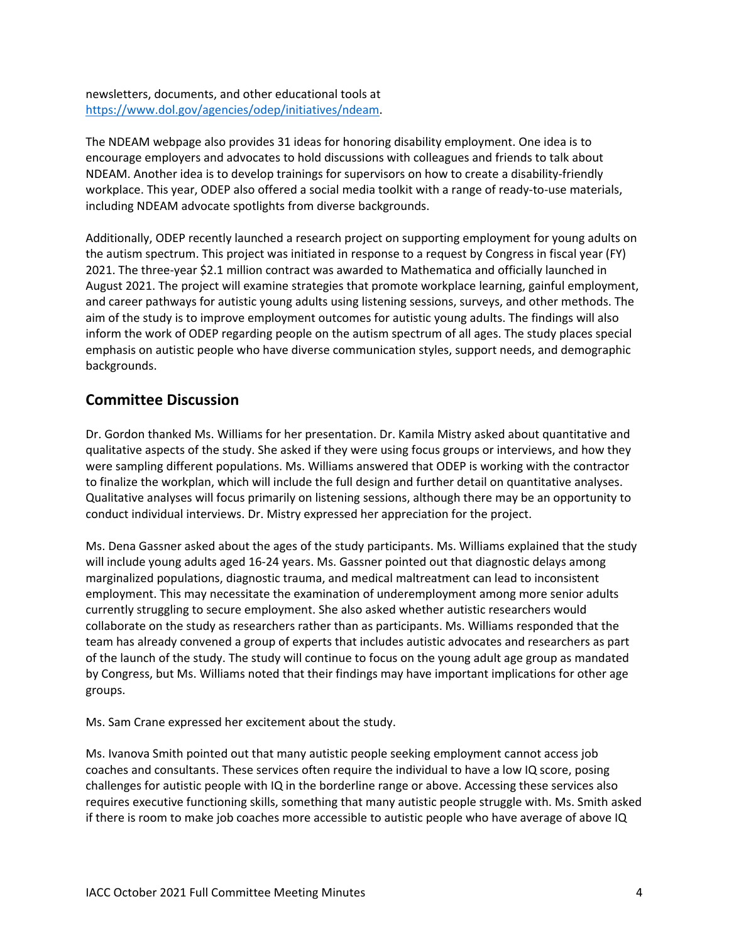newsletters, documents, and other educational tools at [https://www.dol.gov/agencies/odep/initiatives/ndeam.](https://www.dol.gov/agencies/odep/initiatives/ndeam)

The NDEAM webpage also provides 31 ideas for honoring disability employment. One idea is to encourage employers and advocates to hold discussions with colleagues and friends to talk about NDEAM. Another idea is to develop trainings for supervisors on how to create a disability-friendly workplace. This year, ODEP also offered a social media toolkit with a range of ready-to-use materials, including NDEAM advocate spotlights from diverse backgrounds.

Additionally, ODEP recently launched a research project on supporting employment for young adults on the autism spectrum. This project was initiated in response to a request by Congress in fiscal year (FY) 2021. The three-year \$2.1 million contract was awarded to Mathematica and officially launched in August 2021. The project will examine strategies that promote workplace learning, gainful employment, and career pathways for autistic young adults using listening sessions, surveys, and other methods. The aim of the study is to improve employment outcomes for autistic young adults. The findings will also inform the work of ODEP regarding people on the autism spectrum of all ages. The study places special emphasis on autistic people who have diverse communication styles, support needs, and demographic backgrounds.

#### **Committee Discussion**

Dr. Gordon thanked Ms. Williams for her presentation. Dr. Kamila Mistry asked about quantitative and qualitative aspects of the study. She asked if they were using focus groups or interviews, and how they were sampling different populations. Ms. Williams answered that ODEP is working with the contractor to finalize the workplan, which will include the full design and further detail on quantitative analyses. Qualitative analyses will focus primarily on listening sessions, although there may be an opportunity to conduct individual interviews. Dr. Mistry expressed her appreciation for the project.

Ms. Dena Gassner asked about the ages of the study participants. Ms. Williams explained that the study will include young adults aged 16-24 years. Ms. Gassner pointed out that diagnostic delays among marginalized populations, diagnostic trauma, and medical maltreatment can lead to inconsistent employment. This may necessitate the examination of underemployment among more senior adults currently struggling to secure employment. She also asked whether autistic researchers would collaborate on the study as researchers rather than as participants. Ms. Williams responded that the team has already convened a group of experts that includes autistic advocates and researchers as part of the launch of the study. The study will continue to focus on the young adult age group as mandated by Congress, but Ms. Williams noted that their findings may have important implications for other age groups.

Ms. Sam Crane expressed her excitement about the study.

Ms. Ivanova Smith pointed out that many autistic people seeking employment cannot access job coaches and consultants. These services often require the individual to have a low IQ score, posing challenges for autistic people with IQ in the borderline range or above. Accessing these services also requires executive functioning skills, something that many autistic people struggle with. Ms. Smith asked if there is room to make job coaches more accessible to autistic people who have average of above IQ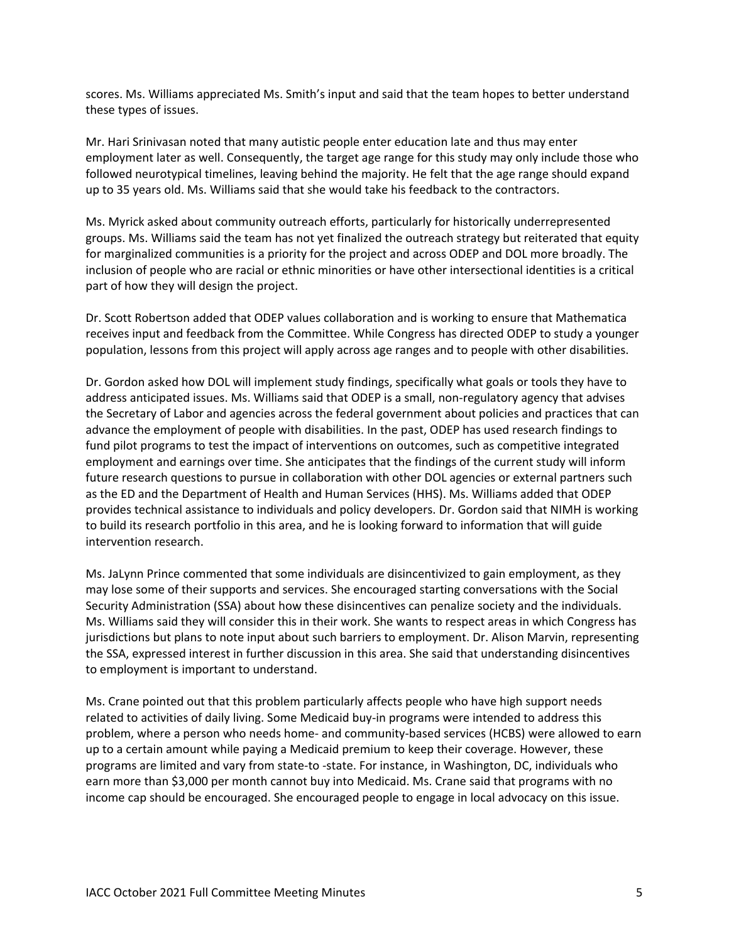scores. Ms. Williams appreciated Ms. Smith's input and said that the team hopes to better understand these types of issues.

Mr. Hari Srinivasan noted that many autistic people enter education late and thus may enter employment later as well. Consequently, the target age range for this study may only include those who followed neurotypical timelines, leaving behind the majority. He felt that the age range should expand up to 35 years old. Ms. Williams said that she would take his feedback to the contractors.

Ms. Myrick asked about community outreach efforts, particularly for historically underrepresented groups. Ms. Williams said the team has not yet finalized the outreach strategy but reiterated that equity for marginalized communities is a priority for the project and across ODEP and DOL more broadly. The inclusion of people who are racial or ethnic minorities or have other intersectional identities is a critical part of how they will design the project.

Dr. Scott Robertson added that ODEP values collaboration and is working to ensure that Mathematica receives input and feedback from the Committee. While Congress has directed ODEP to study a younger population, lessons from this project will apply across age ranges and to people with other disabilities.

Dr. Gordon asked how DOL will implement study findings, specifically what goals or tools they have to address anticipated issues. Ms. Williams said that ODEP is a small, non-regulatory agency that advises the Secretary of Labor and agencies across the federal government about policies and practices that can advance the employment of people with disabilities. In the past, ODEP has used research findings to fund pilot programs to test the impact of interventions on outcomes, such as competitive integrated employment and earnings over time. She anticipates that the findings of the current study will inform future research questions to pursue in collaboration with other DOL agencies or external partners such as the ED and the Department of Health and Human Services (HHS). Ms. Williams added that ODEP provides technical assistance to individuals and policy developers. Dr. Gordon said that NIMH is working to build its research portfolio in this area, and he is looking forward to information that will guide intervention research.

Ms. JaLynn Prince commented that some individuals are disincentivized to gain employment, as they may lose some of their supports and services. She encouraged starting conversations with the Social Security Administration (SSA) about how these disincentives can penalize society and the individuals. Ms. Williams said they will consider this in their work. She wants to respect areas in which Congress has jurisdictions but plans to note input about such barriers to employment. Dr. Alison Marvin, representing the SSA, expressed interest in further discussion in this area. She said that understanding disincentives to employment is important to understand.

Ms. Crane pointed out that this problem particularly affects people who have high support needs related to activities of daily living. Some Medicaid buy-in programs were intended to address this problem, where a person who needs home- and community-based services (HCBS) were allowed to earn up to a certain amount while paying a Medicaid premium to keep their coverage. However, these programs are limited and vary from state-to -state. For instance, in Washington, DC, individuals who earn more than \$3,000 per month cannot buy into Medicaid. Ms. Crane said that programs with no income cap should be encouraged. She encouraged people to engage in local advocacy on this issue.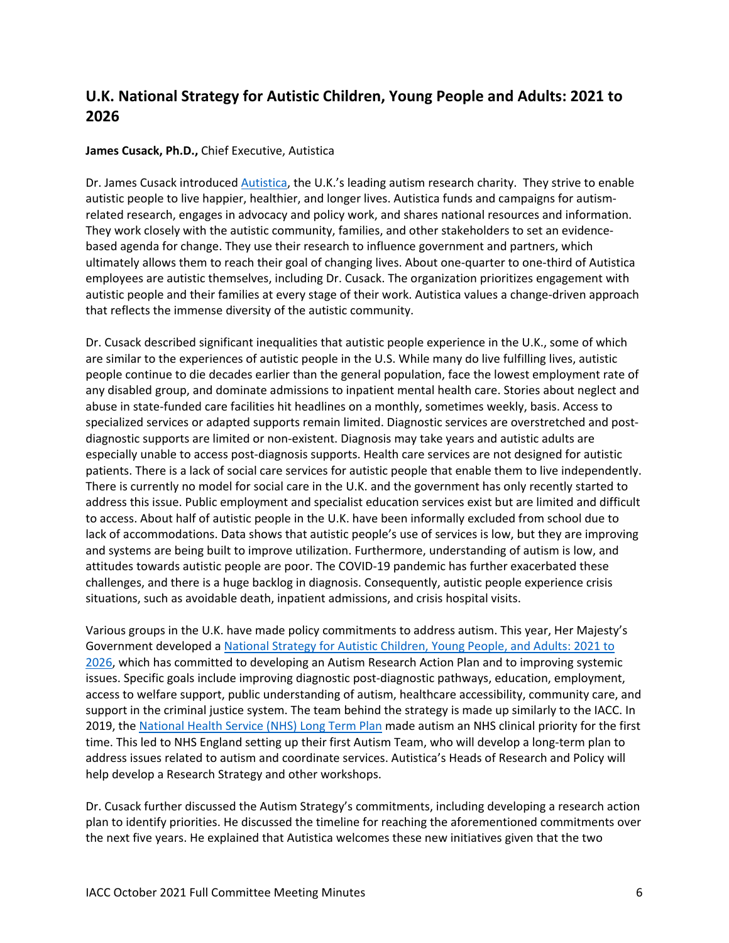# **U.K. National Strategy for Autistic Children, Young People and Adults: 2021 to 2026**

#### **James Cusack, Ph.D.,** Chief Executive, Autistica

Dr. James Cusack introduce[d Autistica,](https://www.autistica.org.uk/) the U.K.'s leading autism research charity. They strive to enable autistic people to live happier, healthier, and longer lives. Autistica funds and campaigns for autismrelated research, engages in advocacy and policy work, and shares national resources and information. They work closely with the autistic community, families, and other stakeholders to set an evidencebased agenda for change. They use their research to influence government and partners, which ultimately allows them to reach their goal of changing lives. About one-quarter to one-third of Autistica employees are autistic themselves, including Dr. Cusack. The organization prioritizes engagement with autistic people and their families at every stage of their work. Autistica values a change-driven approach that reflects the immense diversity of the autistic community.

Dr. Cusack described significant inequalities that autistic people experience in the U.K., some of which are similar to the experiences of autistic people in the U.S. While many do live fulfilling lives, autistic people continue to die decades earlier than the general population, face the lowest employment rate of any disabled group, and dominate admissions to inpatient mental health care. Stories about neglect and abuse in state-funded care facilities hit headlines on a monthly, sometimes weekly, basis. Access to specialized services or adapted supports remain limited. Diagnostic services are overstretched and postdiagnostic supports are limited or non-existent. Diagnosis may take years and autistic adults are especially unable to access post-diagnosis supports. Health care services are not designed for autistic patients. There is a lack of social care services for autistic people that enable them to live independently. There is currently no model for social care in the U.K. and the government has only recently started to address this issue. Public employment and specialist education services exist but are limited and difficult to access. About half of autistic people in the U.K. have been informally excluded from school due to lack of accommodations. Data shows that autistic people's use of services is low, but they are improving and systems are being built to improve utilization. Furthermore, understanding of autism is low, and attitudes towards autistic people are poor. The COVID-19 pandemic has further exacerbated these challenges, and there is a huge backlog in diagnosis. Consequently, autistic people experience crisis situations, such as avoidable death, inpatient admissions, and crisis hospital visits.

Various groups in the U.K. have made policy commitments to address autism. This year, Her Majesty's Government developed a [National Strategy for Autistic Children, Young People, and Adults: 2021 to](https://www.gov.uk/government/publications/national-strategy-for-autistic-children-young-people-and-adults-2021-to-2026)  [2026,](https://www.gov.uk/government/publications/national-strategy-for-autistic-children-young-people-and-adults-2021-to-2026) which has committed to developing an Autism Research Action Plan and to improving systemic issues. Specific goals include improving diagnostic post-diagnostic pathways, education, employment, access to welfare support, public understanding of autism, healthcare accessibility, community care, and support in the criminal justice system. The team behind the strategy is made up similarly to the IACC. In 2019, the [National Health Service \(NHS\) Long Term Plan](https://www.longtermplan.nhs.uk/) made autism an NHS clinical priority for the first time. This led to NHS England setting up their first Autism Team, who will develop a long-term plan to address issues related to autism and coordinate services. Autistica's Heads of Research and Policy will help develop a Research Strategy and other workshops.

Dr. Cusack further discussed the Autism Strategy's commitments, including developing a research action plan to identify priorities. He discussed the timeline for reaching the aforementioned commitments over the next five years. He explained that Autistica welcomes these new initiatives given that the two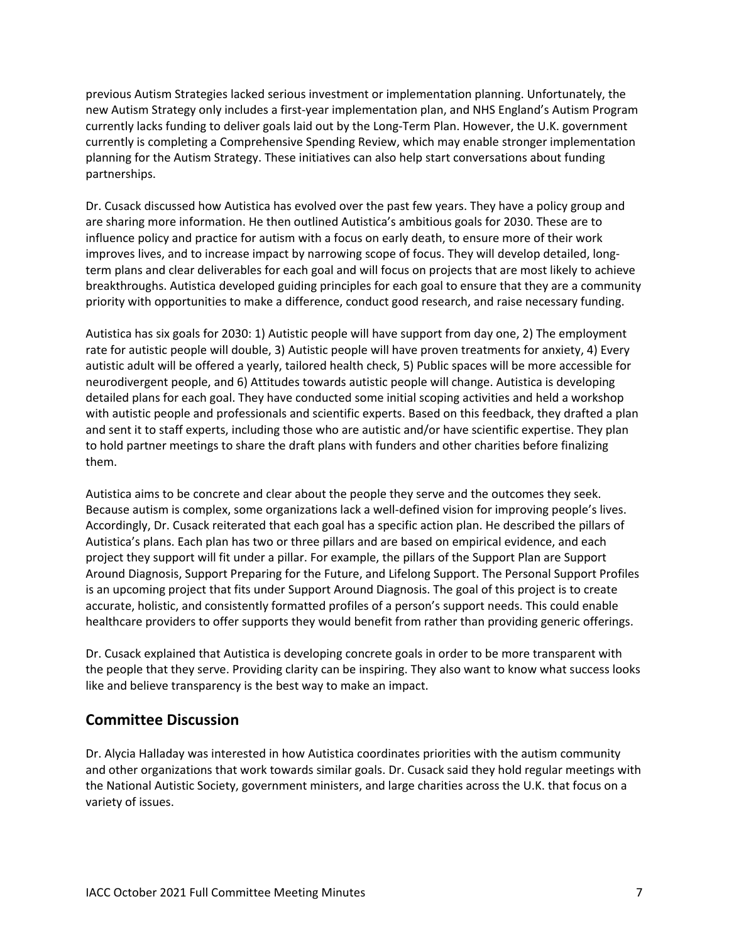previous Autism Strategies lacked serious investment or implementation planning. Unfortunately, the new Autism Strategy only includes a first-year implementation plan, and NHS England's Autism Program currently lacks funding to deliver goals laid out by the Long-Term Plan. However, the U.K. government currently is completing a Comprehensive Spending Review, which may enable stronger implementation planning for the Autism Strategy. These initiatives can also help start conversations about funding partnerships.

Dr. Cusack discussed how Autistica has evolved over the past few years. They have a policy group and are sharing more information. He then outlined Autistica's ambitious goals for 2030. These are to influence policy and practice for autism with a focus on early death, to ensure more of their work improves lives, and to increase impact by narrowing scope of focus. They will develop detailed, longterm plans and clear deliverables for each goal and will focus on projects that are most likely to achieve breakthroughs. Autistica developed guiding principles for each goal to ensure that they are a community priority with opportunities to make a difference, conduct good research, and raise necessary funding.

Autistica has six goals for 2030: 1) Autistic people will have support from day one, 2) The employment rate for autistic people will double, 3) Autistic people will have proven treatments for anxiety, 4) Every autistic adult will be offered a yearly, tailored health check, 5) Public spaces will be more accessible for neurodivergent people, and 6) Attitudes towards autistic people will change. Autistica is developing detailed plans for each goal. They have conducted some initial scoping activities and held a workshop with autistic people and professionals and scientific experts. Based on this feedback, they drafted a plan and sent it to staff experts, including those who are autistic and/or have scientific expertise. They plan to hold partner meetings to share the draft plans with funders and other charities before finalizing them.

Autistica aims to be concrete and clear about the people they serve and the outcomes they seek. Because autism is complex, some organizations lack a well-defined vision for improving people's lives. Accordingly, Dr. Cusack reiterated that each goal has a specific action plan. He described the pillars of Autistica's plans. Each plan has two or three pillars and are based on empirical evidence, and each project they support will fit under a pillar. For example, the pillars of the Support Plan are Support Around Diagnosis, Support Preparing for the Future, and Lifelong Support. The Personal Support Profiles is an upcoming project that fits under Support Around Diagnosis. The goal of this project is to create accurate, holistic, and consistently formatted profiles of a person's support needs. This could enable healthcare providers to offer supports they would benefit from rather than providing generic offerings.

Dr. Cusack explained that Autistica is developing concrete goals in order to be more transparent with the people that they serve. Providing clarity can be inspiring. They also want to know what success looks like and believe transparency is the best way to make an impact.

#### **Committee Discussion**

Dr. Alycia Halladay was interested in how Autistica coordinates priorities with the autism community and other organizations that work towards similar goals. Dr. Cusack said they hold regular meetings with the National Autistic Society, government ministers, and large charities across the U.K. that focus on a variety of issues.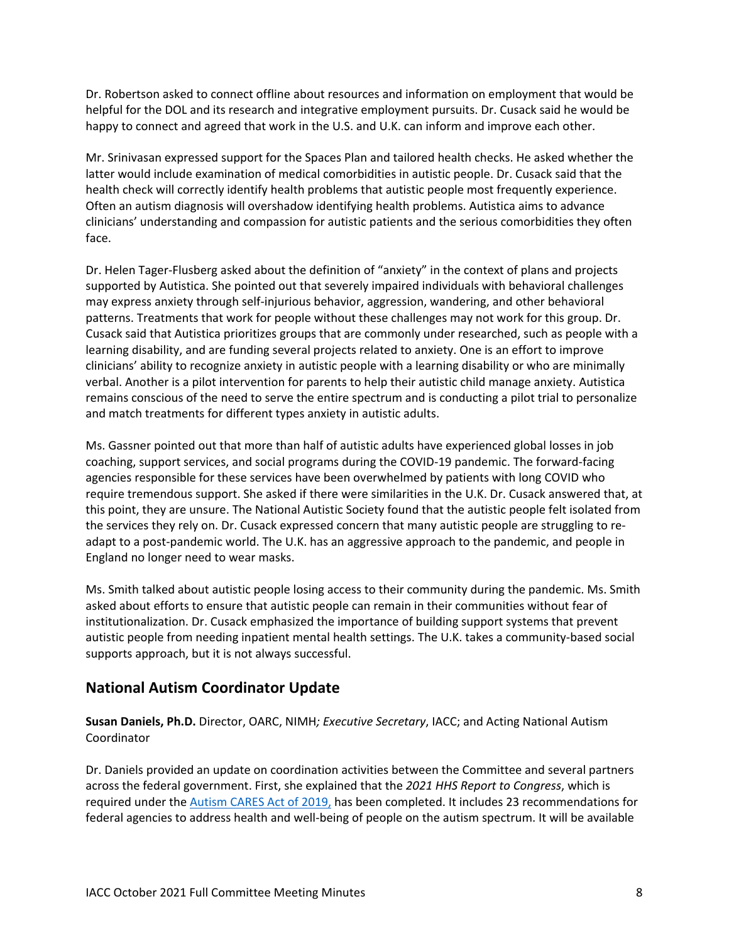Dr. Robertson asked to connect offline about resources and information on employment that would be helpful for the DOL and its research and integrative employment pursuits. Dr. Cusack said he would be happy to connect and agreed that work in the U.S. and U.K. can inform and improve each other.

Mr. Srinivasan expressed support for the Spaces Plan and tailored health checks. He asked whether the latter would include examination of medical comorbidities in autistic people. Dr. Cusack said that the health check will correctly identify health problems that autistic people most frequently experience. Often an autism diagnosis will overshadow identifying health problems. Autistica aims to advance clinicians' understanding and compassion for autistic patients and the serious comorbidities they often face.

Dr. Helen Tager-Flusberg asked about the definition of "anxiety" in the context of plans and projects supported by Autistica. She pointed out that severely impaired individuals with behavioral challenges may express anxiety through self-injurious behavior, aggression, wandering, and other behavioral patterns. Treatments that work for people without these challenges may not work for this group. Dr. Cusack said that Autistica prioritizes groups that are commonly under researched, such as people with a learning disability, and are funding several projects related to anxiety. One is an effort to improve clinicians' ability to recognize anxiety in autistic people with a learning disability or who are minimally verbal. Another is a pilot intervention for parents to help their autistic child manage anxiety. Autistica remains conscious of the need to serve the entire spectrum and is conducting a pilot trial to personalize and match treatments for different types anxiety in autistic adults.

Ms. Gassner pointed out that more than half of autistic adults have experienced global losses in job coaching, support services, and social programs during the COVID-19 pandemic. The forward-facing agencies responsible for these services have been overwhelmed by patients with long COVID who require tremendous support. She asked if there were similarities in the U.K. Dr. Cusack answered that, at this point, they are unsure. The National Autistic Society found that the autistic people felt isolated from the services they rely on. Dr. Cusack expressed concern that many autistic people are struggling to readapt to a post-pandemic world. The U.K. has an aggressive approach to the pandemic, and people in England no longer need to wear masks.

Ms. Smith talked about autistic people losing access to their community during the pandemic. Ms. Smith asked about efforts to ensure that autistic people can remain in their communities without fear of institutionalization. Dr. Cusack emphasized the importance of building support systems that prevent autistic people from needing inpatient mental health settings. The U.K. takes a community-based social supports approach, but it is not always successful.

## **National Autism Coordinator Update**

**Susan Daniels, Ph.D.** Director, OARC, NIMH*; Executive Secretary*, IACC; and Acting National Autism Coordinator

Dr. Daniels provided an update on coordination activities between the Committee and several partners across the federal government. First, she explained that the *2021 HHS Report to Congress*, which is required under th[e Autism CARES Act of 2019,](https://iacc.hhs.gov/about-iacc/legislation/autism/cares-act-2019/) has been completed. It includes 23 recommendations for federal agencies to address health and well-being of people on the autism spectrum. It will be available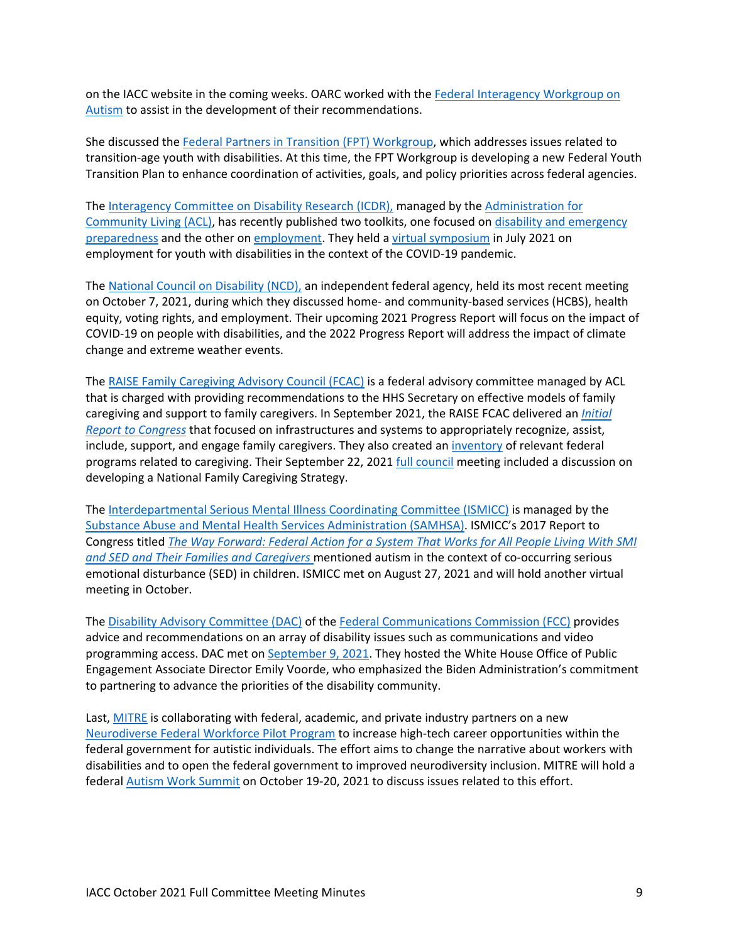on the IACC website in the coming weeks. OARC worked with the [Federal Interagency Workgroup on](https://crs.od.nih.gov/CRSPublic/View.aspx?Id=6448&FY=2019)  [Autism](https://crs.od.nih.gov/CRSPublic/View.aspx?Id=6448&FY=2019) to assist in the development of their recommendations.

She discussed th[e Federal Partners in Transition \(FPT\) Workgroup,](https://youth.gov/feature-article/federal-partners-transition) which addresses issues related to transition-age youth with disabilities. At this time, the FPT Workgroup is developing a new Federal Youth Transition Plan to enhance coordination of activities, goals, and policy priorities across federal agencies.

The [Interagency Committee on Disability](https://icdr.acl.gov/) Research (ICDR), managed by th[e Administration for](https://acl.gov/)  [Community Living](https://acl.gov/) (ACL), has recently published two toolkits, one focused on [disability and emergency](https://icdr.acl.gov/resources/reports/disability-and-emergency-preparedness-resources-and-research-inclusive-emergency)  [preparedness](https://icdr.acl.gov/resources/reports/disability-and-emergency-preparedness-resources-and-research-inclusive-emergency) and the other on [employment.](https://icdr.acl.gov/resources/reports/employment-toolkit-interagency-collaboration) They held [a virtual symposium](https://icdr.acl.gov/resources/reports/employment-youth-and-young-adults-disabilities-meeting-summary) in July 2021 on employment for youth with disabilities in the context of the COVID-19 pandemic.

The [National Council on Disability](https://ncd.gov/) (NCD), an independent federal agency, held its most recent meeting on October 7, 2021, during which they discussed home- and community-based services (HCBS), health equity, voting rights, and employment. Their upcoming 2021 Progress Report will focus on the impact of COVID-19 on people with disabilities, and the 2022 Progress Report will address the impact of climate change and extreme weather events.

The [RAISE Family Caregiving Advisory Council \(FCAC\)](https://acl.gov/programs/support-caregivers/raise-family-caregiving-advisory-council) is a federal advisory committee managed by ACL that is charged with providing recommendations to the HHS Secretary on effective models of family caregiving and support to family caregivers. In September 2021, the RAISE FCAC delivered an *[Initial](https://acl.gov/RAISE/report)  [Report to Congress](https://acl.gov/RAISE/report)* that focused on infrastructures and systems to appropriately recognize, assist, include, support, and engage family caregivers. They also created an [inventory](https://acl.gov/sites/default/files/RAISE_SGRG/FedCaregiverSupport-Inventory(ACL).docx) of relevant federal programs related to caregiving. Their September 22, 2021 [full council](https://acl.gov/programs/support-caregivers/raise-family-caregiving-advisory-council) meeting included a discussion on developing a National Family Caregiving Strategy.

The [Interdepartmental Serious Mental Illness Coordinating Committee \(ISMICC\)](https://www.samhsa.gov/ismicc) is managed by the [Substance Abuse and Mental Health Services Administration \(SAMHSA\).](https://www.samhsa.gov/) ISMICC's 2017 Report to Congress titled *[The Way Forward: Federal Action for a System That Works for All People Living With SMI](https://store.samhsa.gov/product/The-Way-Forward-Federal-Action-for-a-System-That-Works-for-All-People-Living-With-SMI-and-SED-and-Their-Families-and-Caregivers-Full-Report/PEP17-ISMICC-RTC)  [and SED and Their Families and Caregivers](https://store.samhsa.gov/product/The-Way-Forward-Federal-Action-for-a-System-That-Works-for-All-People-Living-With-SMI-and-SED-and-Their-Families-and-Caregivers-Full-Report/PEP17-ISMICC-RTC)* mentioned autism in the context of co-occurring serious emotional disturbance (SED) in children. ISMICC met on August 27, 2021 and will hold another virtual meeting in October.

The [Disability Advisory Committee \(DAC\)](https://www.fcc.gov/disability-advisory-committee) of the [Federal Communications Commission \(FCC\)](https://www.fcc.gov/) provides advice and recommendations on an array of disability issues such as communications and video programming access. DAC met on [September](https://www.fcc.gov/news-events/events/2021/09/disability-advisory-committee-meeting) 9, 2021. They hosted the White House Office of Public Engagement Associate Director Emily Voorde, who emphasized the Biden Administration's commitment to partnering to advance the priorities of the disability community.

Last, [MITRE](https://www.mitre.org/) is collaborating with federal, academic, and private industry partners on a new [Neurodiverse Federal Workforce Pilot Program](https://nfw.mitre.org/) to increase high-tech career opportunities within the federal government for autistic individuals. The effort aims to change the narrative about workers with disabilities and to open the federal government to improved neurodiversity inclusion. MITRE will hold a federal [Autism Work Summit](https://na.eventscloud.com/website/31208/fndaw/) on October 19-20, 2021 to discuss issues related to this effort.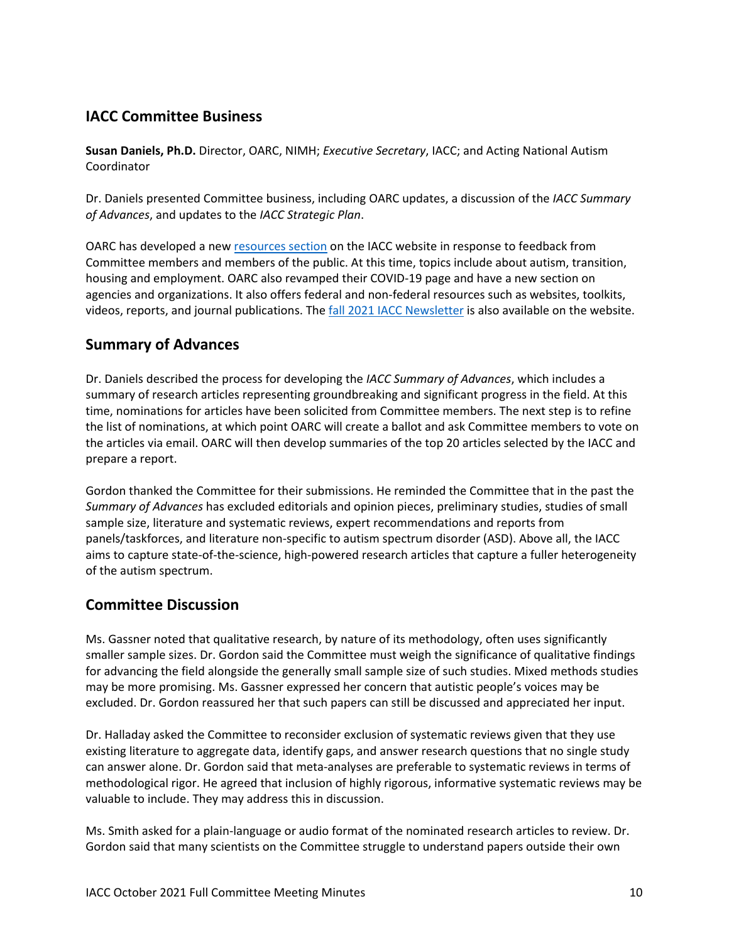# **IACC Committee Business**

**Susan Daniels, Ph.D.** Director, OARC, NIMH; *Executive Secretary*, IACC; and Acting National Autism Coordinator

Dr. Daniels presented Committee business, including OARC updates, a discussion of the *IACC Summary of Advances*, and updates to the *IACC Strategic Plan*.

OARC has developed a ne[w resources section](https://iacc.hhs.gov/resources/) on the IACC website in response to feedback from Committee members and members of the public. At this time, topics include about autism, transition, housing and employment. OARC also revamped their COVID-19 page and have a new section on agencies and organizations. It also offers federal and non-federal resources such as websites, toolkits, videos, reports, and journal publications. The [fall 2021 IACC Newsletter](https://iacc.hhs.gov/newsletters/2021/october.html) is also available on the website.

## **Summary of Advances**

Dr. Daniels described the process for developing the *IACC Summary of Advances*, which includes a summary of research articles representing groundbreaking and significant progress in the field. At this time, nominations for articles have been solicited from Committee members. The next step is to refine the list of nominations, at which point OARC will create a ballot and ask Committee members to vote on the articles via email. OARC will then develop summaries of the top 20 articles selected by the IACC and prepare a report.

Gordon thanked the Committee for their submissions. He reminded the Committee that in the past the *Summary of Advances* has excluded editorials and opinion pieces, preliminary studies, studies of small sample size, literature and systematic reviews, expert recommendations and reports from panels/taskforces, and literature non-specific to autism spectrum disorder (ASD). Above all, the IACC aims to capture state-of-the-science, high-powered research articles that capture a fuller heterogeneity of the autism spectrum.

## **Committee Discussion**

Ms. Gassner noted that qualitative research, by nature of its methodology, often uses significantly smaller sample sizes. Dr. Gordon said the Committee must weigh the significance of qualitative findings for advancing the field alongside the generally small sample size of such studies. Mixed methods studies may be more promising. Ms. Gassner expressed her concern that autistic people's voices may be excluded. Dr. Gordon reassured her that such papers can still be discussed and appreciated her input.

Dr. Halladay asked the Committee to reconsider exclusion of systematic reviews given that they use existing literature to aggregate data, identify gaps, and answer research questions that no single study can answer alone. Dr. Gordon said that meta-analyses are preferable to systematic reviews in terms of methodological rigor. He agreed that inclusion of highly rigorous, informative systematic reviews may be valuable to include. They may address this in discussion.

Ms. Smith asked for a plain-language or audio format of the nominated research articles to review. Dr. Gordon said that many scientists on the Committee struggle to understand papers outside their own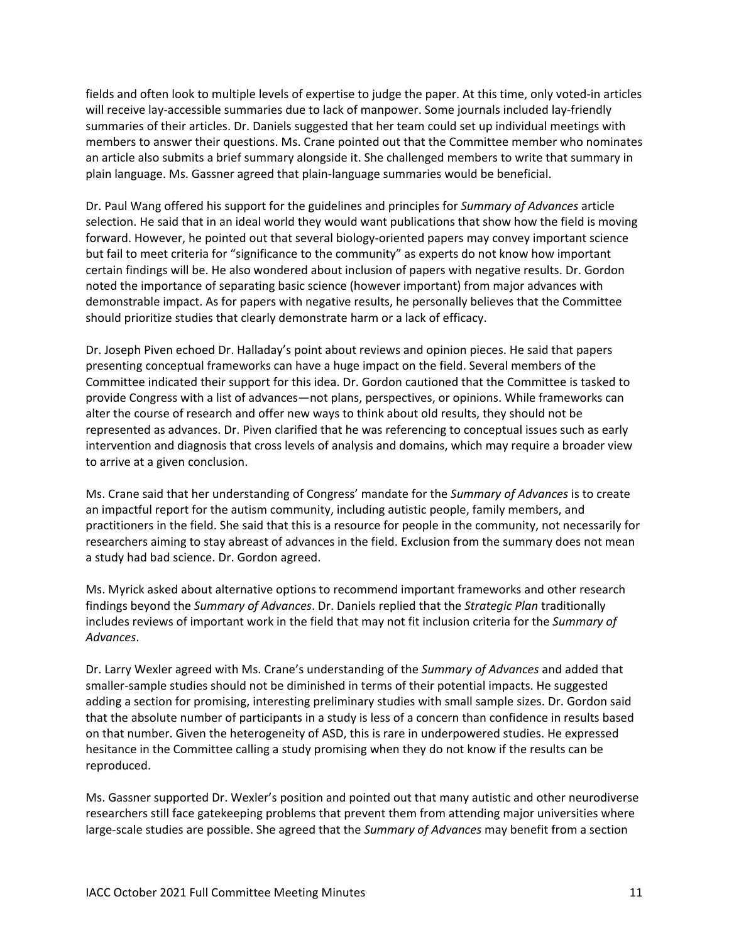fields and often look to multiple levels of expertise to judge the paper. At this time, only voted-in articles will receive lay-accessible summaries due to lack of manpower. Some journals included lay-friendly summaries of their articles. Dr. Daniels suggested that her team could set up individual meetings with members to answer their questions. Ms. Crane pointed out that the Committee member who nominates an article also submits a brief summary alongside it. She challenged members to write that summary in plain language. Ms. Gassner agreed that plain-language summaries would be beneficial.

Dr. Paul Wang offered his support for the guidelines and principles for *Summary of Advances* article selection. He said that in an ideal world they would want publications that show how the field is moving forward. However, he pointed out that several biology-oriented papers may convey important science but fail to meet criteria for "significance to the community" as experts do not know how important certain findings will be. He also wondered about inclusion of papers with negative results. Dr. Gordon noted the importance of separating basic science (however important) from major advances with demonstrable impact. As for papers with negative results, he personally believes that the Committee should prioritize studies that clearly demonstrate harm or a lack of efficacy.

Dr. Joseph Piven echoed Dr. Halladay's point about reviews and opinion pieces. He said that papers presenting conceptual frameworks can have a huge impact on the field. Several members of the Committee indicated their support for this idea. Dr. Gordon cautioned that the Committee is tasked to provide Congress with a list of advances—not plans, perspectives, or opinions. While frameworks can alter the course of research and offer new ways to think about old results, they should not be represented as advances. Dr. Piven clarified that he was referencing to conceptual issues such as early intervention and diagnosis that cross levels of analysis and domains, which may require a broader view to arrive at a given conclusion.

Ms. Crane said that her understanding of Congress' mandate for the *Summary of Advances* is to create an impactful report for the autism community, including autistic people, family members, and practitioners in the field. She said that this is a resource for people in the community, not necessarily for researchers aiming to stay abreast of advances in the field. Exclusion from the summary does not mean a study had bad science. Dr. Gordon agreed.

Ms. Myrick asked about alternative options to recommend important frameworks and other research findings beyond the *Summary of Advances*. Dr. Daniels replied that the *Strategic Plan* traditionally includes reviews of important work in the field that may not fit inclusion criteria for the *Summary of Advances*.

Dr. Larry Wexler agreed with Ms. Crane's understanding of the *Summary of Advances* and added that smaller-sample studies should not be diminished in terms of their potential impacts. He suggested adding a section for promising, interesting preliminary studies with small sample sizes. Dr. Gordon said that the absolute number of participants in a study is less of a concern than confidence in results based on that number. Given the heterogeneity of ASD, this is rare in underpowered studies. He expressed hesitance in the Committee calling a study promising when they do not know if the results can be reproduced.

Ms. Gassner supported Dr. Wexler's position and pointed out that many autistic and other neurodiverse researchers still face gatekeeping problems that prevent them from attending major universities where large-scale studies are possible. She agreed that the *Summary of Advances* may benefit from a section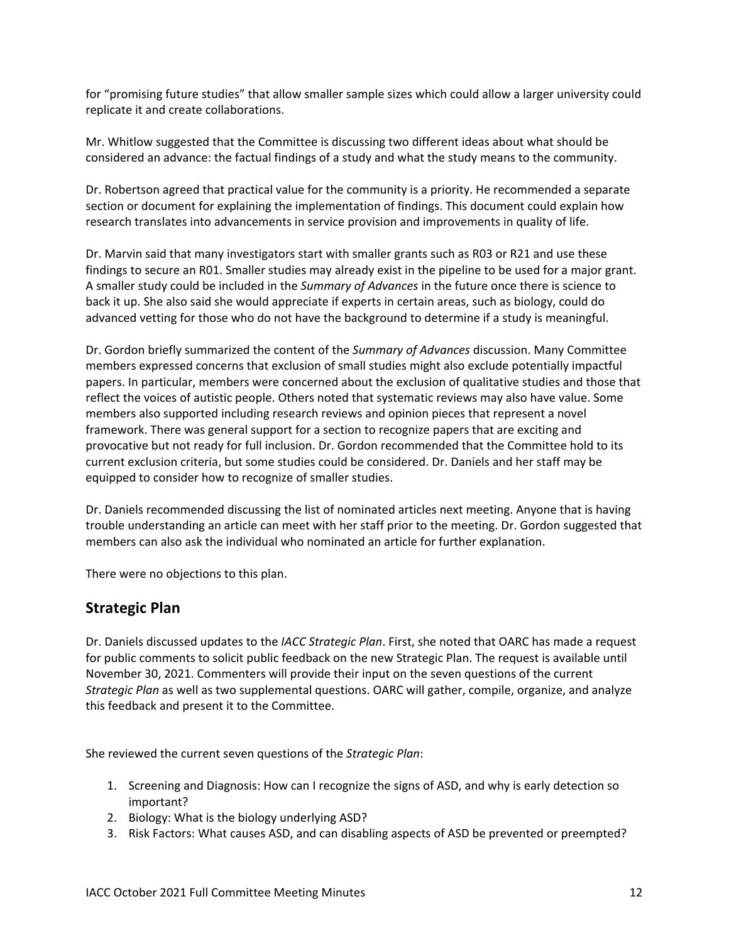for "promising future studies" that allow smaller sample sizes which could allow a larger university could replicate it and create collaborations.

Mr. Whitlow suggested that the Committee is discussing two different ideas about what should be considered an advance: the factual findings of a study and what the study means to the community.

Dr. Robertson agreed that practical value for the community is a priority. He recommended a separate section or document for explaining the implementation of findings. This document could explain how research translates into advancements in service provision and improvements in quality of life.

Dr. Marvin said that many investigators start with smaller grants such as R03 or R21 and use these findings to secure an R01. Smaller studies may already exist in the pipeline to be used for a major grant. A smaller study could be included in the *Summary of Advances* in the future once there is science to back it up. She also said she would appreciate if experts in certain areas, such as biology, could do advanced vetting for those who do not have the background to determine if a study is meaningful.

Dr. Gordon briefly summarized the content of the *Summary of Advances* discussion. Many Committee members expressed concerns that exclusion of small studies might also exclude potentially impactful papers. In particular, members were concerned about the exclusion of qualitative studies and those that reflect the voices of autistic people. Others noted that systematic reviews may also have value. Some members also supported including research reviews and opinion pieces that represent a novel framework. There was general support for a section to recognize papers that are exciting and provocative but not ready for full inclusion. Dr. Gordon recommended that the Committee hold to its current exclusion criteria, but some studies could be considered. Dr. Daniels and her staff may be equipped to consider how to recognize of smaller studies.

Dr. Daniels recommended discussing the list of nominated articles next meeting. Anyone that is having trouble understanding an article can meet with her staff prior to the meeting. Dr. Gordon suggested that members can also ask the individual who nominated an article for further explanation.

There were no objections to this plan.

#### **Strategic Plan**

Dr. Daniels discussed updates to the *IACC Strategic Plan*. First, she noted that OARC has made a request for public comments to solicit public feedback on the new Strategic Plan. The request is available until November 30, 2021. Commenters will provide their input on the seven questions of the current *Strategic Plan* as well as two supplemental questions. OARC will gather, compile, organize, and analyze this feedback and present it to the Committee.

She reviewed the current seven questions of the *Strategic Plan*:

- 1. Screening and Diagnosis: How can I recognize the signs of ASD, and why is early detection so important?
- 2. Biology: What is the biology underlying ASD?
- 3. Risk Factors: What causes ASD, and can disabling aspects of ASD be prevented or preempted?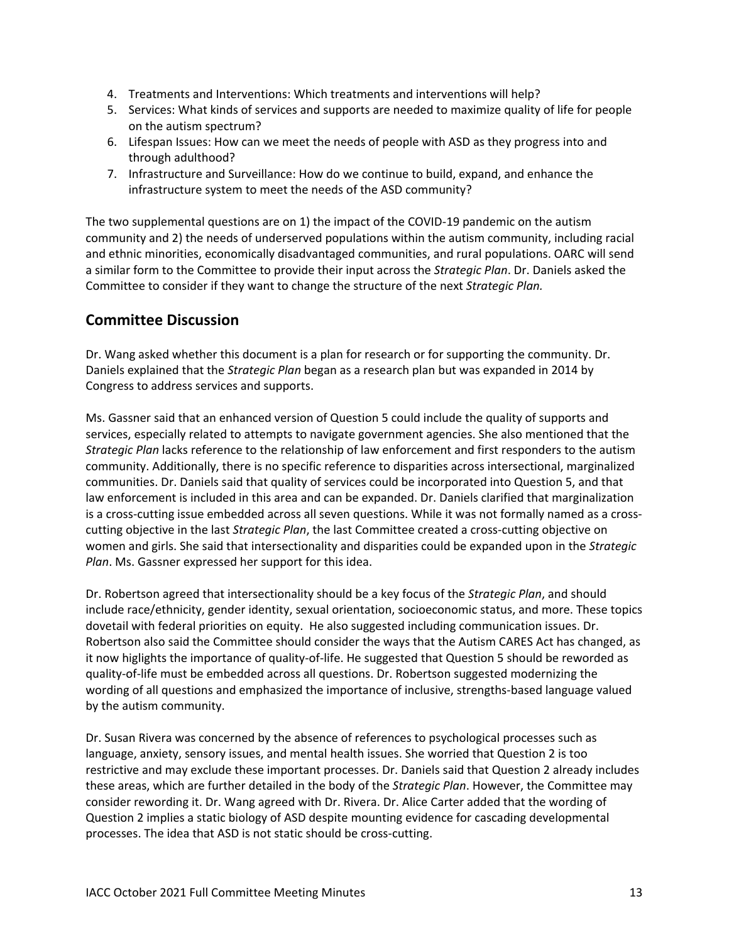- 4. Treatments and Interventions: Which treatments and interventions will help?
- 5. Services: What kinds of services and supports are needed to maximize quality of life for people on the autism spectrum?
- 6. Lifespan Issues: How can we meet the needs of people with ASD as they progress into and through adulthood?
- 7. Infrastructure and Surveillance: How do we continue to build, expand, and enhance the infrastructure system to meet the needs of the ASD community?

The two supplemental questions are on 1) the impact of the COVID-19 pandemic on the autism community and 2) the needs of underserved populations within the autism community, including racial and ethnic minorities, economically disadvantaged communities, and rural populations. OARC will send a similar form to the Committee to provide their input across the *Strategic Plan*. Dr. Daniels asked the Committee to consider if they want to change the structure of the next *Strategic Plan.*

# **Committee Discussion**

Dr. Wang asked whether this document is a plan for research or for supporting the community. Dr. Daniels explained that the *Strategic Plan* began as a research plan but was expanded in 2014 by Congress to address services and supports.

Ms. Gassner said that an enhanced version of Question 5 could include the quality of supports and services, especially related to attempts to navigate government agencies. She also mentioned that the *Strategic Plan* lacks reference to the relationship of law enforcement and first responders to the autism community. Additionally, there is no specific reference to disparities across intersectional, marginalized communities. Dr. Daniels said that quality of services could be incorporated into Question 5, and that law enforcement is included in this area and can be expanded. Dr. Daniels clarified that marginalization is a cross-cutting issue embedded across all seven questions. While it was not formally named as a crosscutting objective in the last *Strategic Plan*, the last Committee created a cross-cutting objective on women and girls. She said that intersectionality and disparities could be expanded upon in the *Strategic Plan*. Ms. Gassner expressed her support for this idea.

Dr. Robertson agreed that intersectionality should be a key focus of the *Strategic Plan*, and should include race/ethnicity, gender identity, sexual orientation, socioeconomic status, and more. These topics dovetail with federal priorities on equity. He also suggested including communication issues. Dr. Robertson also said the Committee should consider the ways that the Autism CARES Act has changed, as it now higlights the importance of quality-of-life. He suggested that Question 5 should be reworded as quality-of-life must be embedded across all questions. Dr. Robertson suggested modernizing the wording of all questions and emphasized the importance of inclusive, strengths-based language valued by the autism community.

Dr. Susan Rivera was concerned by the absence of references to psychological processes such as language, anxiety, sensory issues, and mental health issues. She worried that Question 2 is too restrictive and may exclude these important processes. Dr. Daniels said that Question 2 already includes these areas, which are further detailed in the body of the *Strategic Plan*. However, the Committee may consider rewording it. Dr. Wang agreed with Dr. Rivera. Dr. Alice Carter added that the wording of Question 2 implies a static biology of ASD despite mounting evidence for cascading developmental processes. The idea that ASD is not static should be cross-cutting.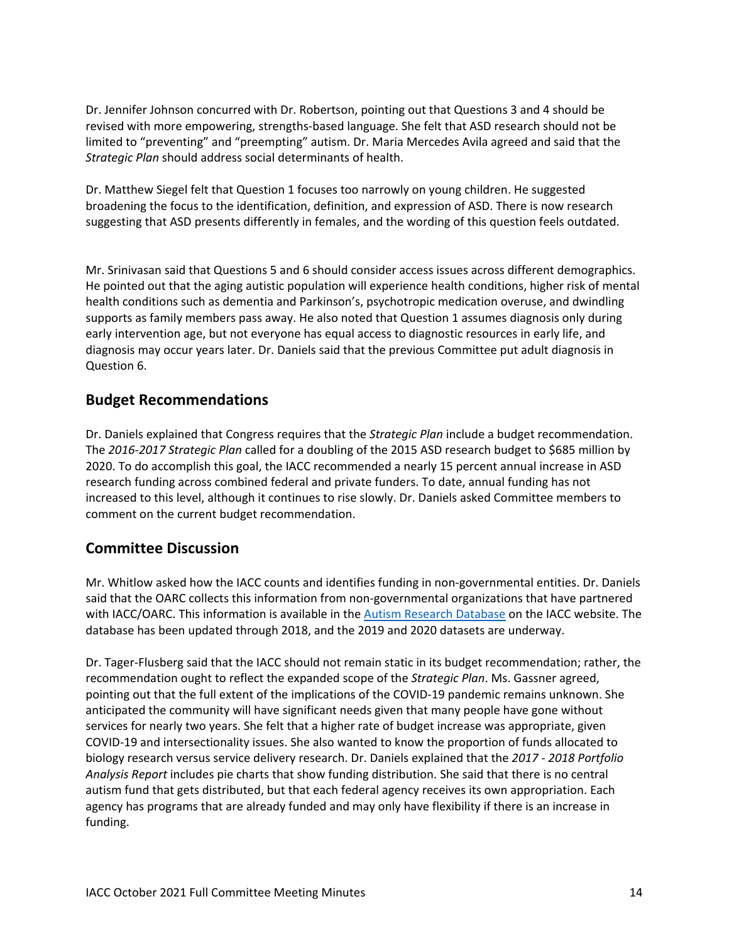Dr. Jennifer Johnson concurred with Dr. Robertson, pointing out that Questions 3 and 4 should be revised with more empowering, strengths-based language. She felt that ASD research should not be limited to "preventing" and "preempting" autism. Dr. Maria Mercedes Avila agreed and said that the *Strategic Plan* should address social determinants of health.

Dr. Matthew Siegel felt that Question 1 focuses too narrowly on young children. He suggested broadening the focus to the identification, definition, and expression of ASD. There is now research suggesting that ASD presents differently in females, and the wording of this question feels outdated.

Mr. Srinivasan said that Questions 5 and 6 should consider access issues across different demographics. He pointed out that the aging autistic population will experience health conditions, higher risk of mental health conditions such as dementia and Parkinson's, psychotropic medication overuse, and dwindling supports as family members pass away. He also noted that Question 1 assumes diagnosis only during early intervention age, but not everyone has equal access to diagnostic resources in early life, and diagnosis may occur years later. Dr. Daniels said that the previous Committee put adult diagnosis in Question 6.

#### **Budget Recommendations**

Dr. Daniels explained that Congress requires that the *Strategic Plan* include a budget recommendation. The *2016-2017 Strategic Plan* called for a doubling of the 2015 ASD research budget to \$685 million by 2020. To do accomplish this goal, the IACC recommended a nearly 15 percent annual increase in ASD research funding across combined federal and private funders. To date, annual funding has not increased to this level, although it continues to rise slowly. Dr. Daniels asked Committee members to comment on the current budget recommendation.

## **Committee Discussion**

Mr. Whitlow asked how the IACC counts and identifies funding in non-governmental entities. Dr. Daniels said that the OARC collects this information from non-governmental organizations that have partnered with IACC/OARC. This information is available in the [Autism Research Database](https://iacc.hhs.gov/funding/data/) on the IACC website. The database has been updated through 2018, and the 2019 and 2020 datasets are underway.

Dr. Tager-Flusberg said that the IACC should not remain static in its budget recommendation; rather, the recommendation ought to reflect the expanded scope of the *Strategic Plan*. Ms. Gassner agreed, pointing out that the full extent of the implications of the COVID-19 pandemic remains unknown. She anticipated the community will have significant needs given that many people have gone without services for nearly two years. She felt that a higher rate of budget increase was appropriate, given COVID-19 and intersectionality issues. She also wanted to know the proportion of funds allocated to biology research versus service delivery research. Dr. Daniels explained that the *2017 - 2018 Portfolio Analysis Report* includes pie charts that show funding distribution. She said that there is no central autism fund that gets distributed, but that each federal agency receives its own appropriation. Each agency has programs that are already funded and may only have flexibility if there is an increase in funding.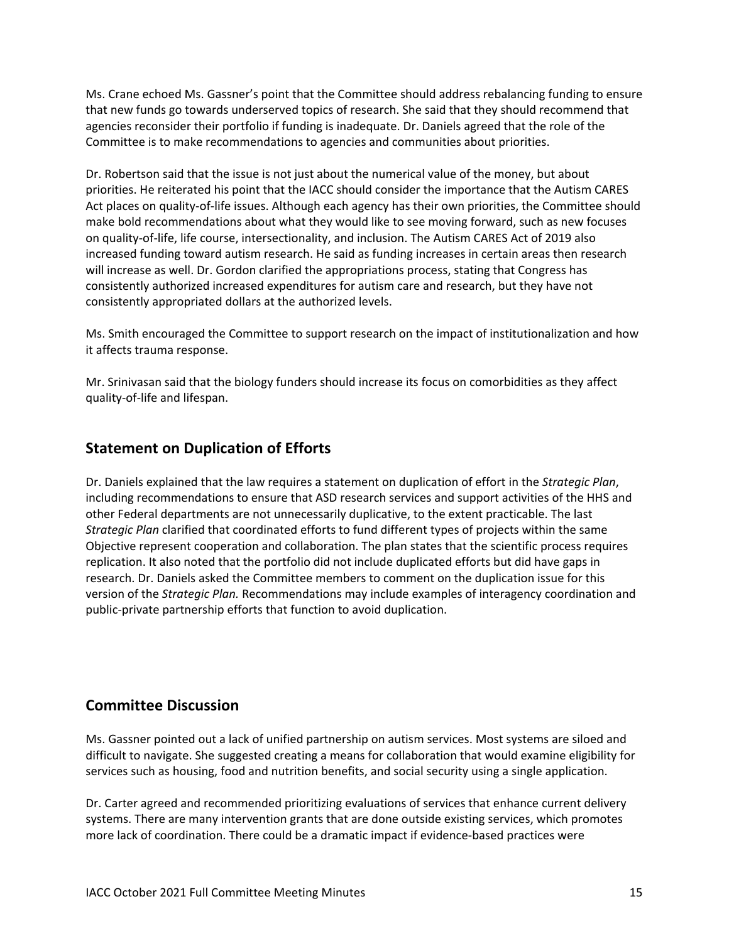Ms. Crane echoed Ms. Gassner's point that the Committee should address rebalancing funding to ensure that new funds go towards underserved topics of research. She said that they should recommend that agencies reconsider their portfolio if funding is inadequate. Dr. Daniels agreed that the role of the Committee is to make recommendations to agencies and communities about priorities.

Dr. Robertson said that the issue is not just about the numerical value of the money, but about priorities. He reiterated his point that the IACC should consider the importance that the Autism CARES Act places on quality-of-life issues. Although each agency has their own priorities, the Committee should make bold recommendations about what they would like to see moving forward, such as new focuses on quality-of-life, life course, intersectionality, and inclusion. The Autism CARES Act of 2019 also increased funding toward autism research. He said as funding increases in certain areas then research will increase as well. Dr. Gordon clarified the appropriations process, stating that Congress has consistently authorized increased expenditures for autism care and research, but they have not consistently appropriated dollars at the authorized levels.

Ms. Smith encouraged the Committee to support research on the impact of institutionalization and how it affects trauma response.

Mr. Srinivasan said that the biology funders should increase its focus on comorbidities as they affect quality-of-life and lifespan.

# **Statement on Duplication of Efforts**

Dr. Daniels explained that the law requires a statement on duplication of effort in the *Strategic Plan*, including recommendations to ensure that ASD research services and support activities of the HHS and other Federal departments are not unnecessarily duplicative, to the extent practicable. The last *Strategic Plan* clarified that coordinated efforts to fund different types of projects within the same Objective represent cooperation and collaboration. The plan states that the scientific process requires replication. It also noted that the portfolio did not include duplicated efforts but did have gaps in research. Dr. Daniels asked the Committee members to comment on the duplication issue for this version of the *Strategic Plan.* Recommendations may include examples of interagency coordination and public-private partnership efforts that function to avoid duplication.

## **Committee Discussion**

Ms. Gassner pointed out a lack of unified partnership on autism services. Most systems are siloed and difficult to navigate. She suggested creating a means for collaboration that would examine eligibility for services such as housing, food and nutrition benefits, and social security using a single application.

Dr. Carter agreed and recommended prioritizing evaluations of services that enhance current delivery systems. There are many intervention grants that are done outside existing services, which promotes more lack of coordination. There could be a dramatic impact if evidence-based practices were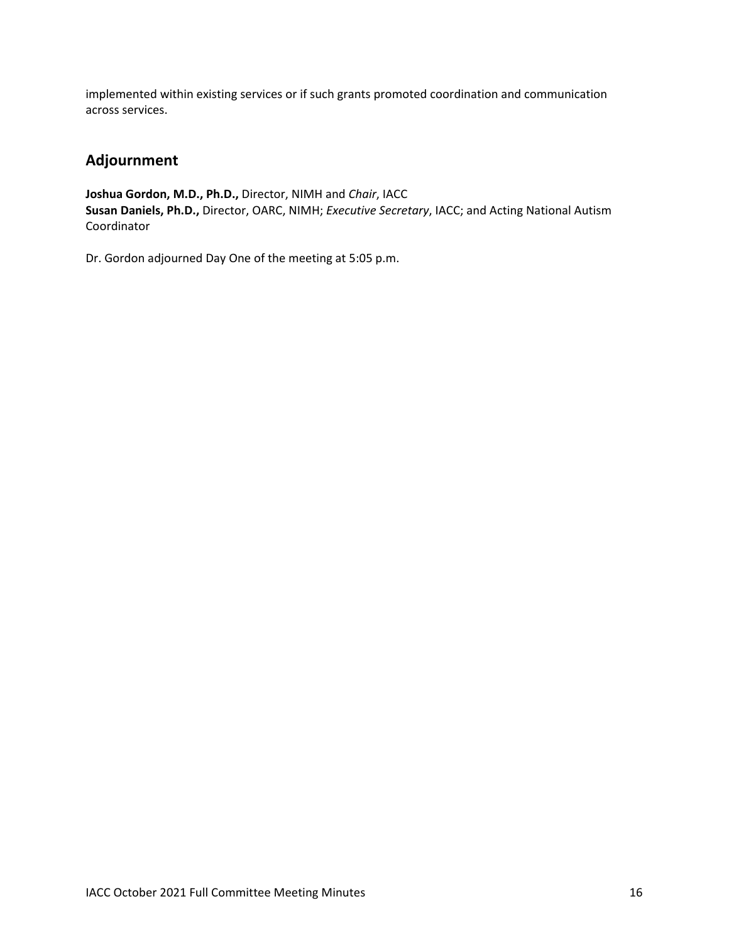implemented within existing services or if such grants promoted coordination and communication across services.

# **Adjournment**

**Joshua Gordon, M.D., Ph.D.,** Director, NIMH and *Chair*, IACC **Susan Daniels, Ph.D.,** Director, OARC, NIMH; *Executive Secretary*, IACC; and Acting National Autism Coordinator

Dr. Gordon adjourned Day One of the meeting at 5:05 p.m.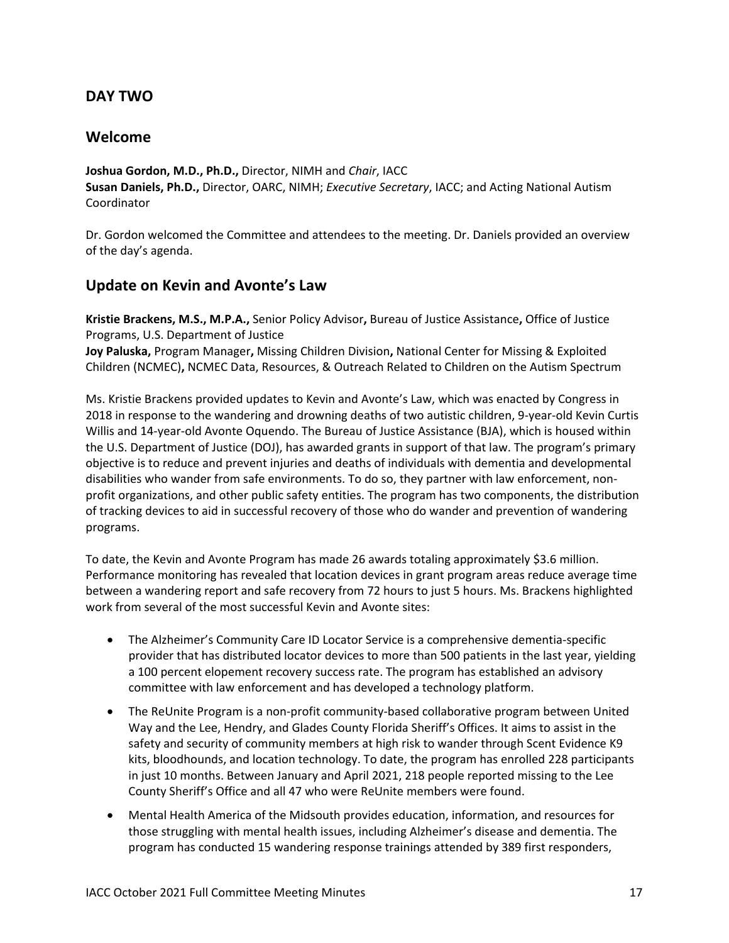## **DAY TWO**

#### **Welcome**

**Joshua Gordon, M.D., Ph.D.,** Director, NIMH and *Chair*, IACC **Susan Daniels, Ph.D.,** Director, OARC, NIMH; *Executive Secretary*, IACC; and Acting National Autism Coordinator

Dr. Gordon welcomed the Committee and attendees to the meeting. Dr. Daniels provided an overview of the day's agenda.

#### **Update on Kevin and Avonte's Law**

**Kristie Brackens, M.S., M.P.A.,** Senior Policy Advisor**,** Bureau of Justice Assistance**,** Office of Justice Programs, U.S. Department of Justice **Joy Paluska,** Program Manager**,** Missing Children Division**,** National Center for Missing & Exploited

Children (NCMEC)**,** NCMEC Data, Resources, & Outreach Related to Children on the Autism Spectrum

Ms. Kristie Brackens provided updates to Kevin and Avonte's Law, which was enacted by Congress in 2018 in response to the wandering and drowning deaths of two autistic children, 9-year-old Kevin Curtis Willis and 14-year-old Avonte Oquendo. The Bureau of Justice Assistance (BJA), which is housed within the U.S. Department of Justice (DOJ), has awarded grants in support of that law. The program's primary objective is to reduce and prevent injuries and deaths of individuals with dementia and developmental disabilities who wander from safe environments. To do so, they partner with law enforcement, nonprofit organizations, and other public safety entities. The program has two components, the distribution of tracking devices to aid in successful recovery of those who do wander and prevention of wandering programs.

To date, the Kevin and Avonte Program has made 26 awards totaling approximately \$3.6 million. Performance monitoring has revealed that location devices in grant program areas reduce average time between a wandering report and safe recovery from 72 hours to just 5 hours. Ms. Brackens highlighted work from several of the most successful Kevin and Avonte sites:

- The Alzheimer's Community Care ID Locator Service is a comprehensive dementia-specific provider that has distributed locator devices to more than 500 patients in the last year, yielding a 100 percent elopement recovery success rate. The program has established an advisory committee with law enforcement and has developed a technology platform.
- The ReUnite Program is a non-profit community-based collaborative program between United Way and the Lee, Hendry, and Glades County Florida Sheriff's Offices. It aims to assist in the safety and security of community members at high risk to wander through Scent Evidence K9 kits, bloodhounds, and location technology. To date, the program has enrolled 228 participants in just 10 months. Between January and April 2021, 218 people reported missing to the Lee County Sheriff's Office and all 47 who were ReUnite members were found.
- Mental Health America of the Midsouth provides education, information, and resources for those struggling with mental health issues, including Alzheimer's disease and dementia. The program has conducted 15 wandering response trainings attended by 389 first responders,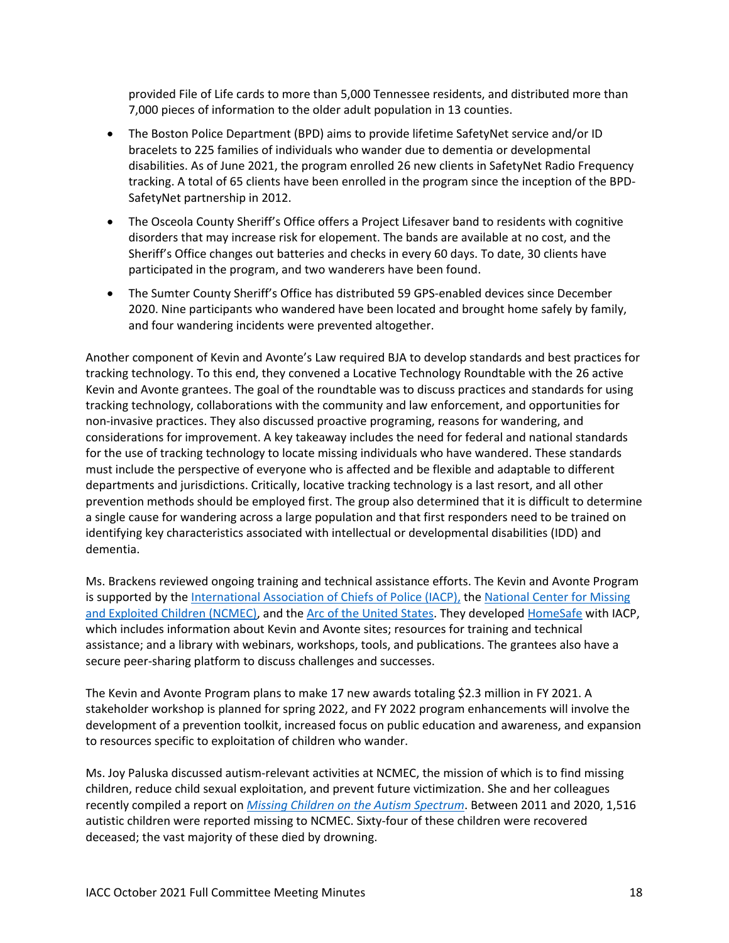provided File of Life cards to more than 5,000 Tennessee residents, and distributed more than 7,000 pieces of information to the older adult population in 13 counties.

- The Boston Police Department (BPD) aims to provide lifetime SafetyNet service and/or ID bracelets to 225 families of individuals who wander due to dementia or developmental disabilities. As of June 2021, the program enrolled 26 new clients in SafetyNet Radio Frequency tracking. A total of 65 clients have been enrolled in the program since the inception of the BPD-SafetyNet partnership in 2012.
- The Osceola County Sheriff's Office offers a Project Lifesaver band to residents with cognitive disorders that may increase risk for elopement. The bands are available at no cost, and the Sheriff's Office changes out batteries and checks in every 60 days. To date, 30 clients have participated in the program, and two wanderers have been found.
- The Sumter County Sheriff's Office has distributed 59 GPS-enabled devices since December 2020. Nine participants who wandered have been located and brought home safely by family, and four wandering incidents were prevented altogether.

Another component of Kevin and Avonte's Law required BJA to develop standards and best practices for tracking technology. To this end, they convened a Locative Technology Roundtable with the 26 active Kevin and Avonte grantees. The goal of the roundtable was to discuss practices and standards for using tracking technology, collaborations with the community and law enforcement, and opportunities for non-invasive practices. They also discussed proactive programing, reasons for wandering, and considerations for improvement. A key takeaway includes the need for federal and national standards for the use of tracking technology to locate missing individuals who have wandered. These standards must include the perspective of everyone who is affected and be flexible and adaptable to different departments and jurisdictions. Critically, locative tracking technology is a last resort, and all other prevention methods should be employed first. The group also determined that it is difficult to determine a single cause for wandering across a large population and that first responders need to be trained on identifying key characteristics associated with intellectual or developmental disabilities (IDD) and dementia.

Ms. Brackens reviewed ongoing training and technical assistance efforts. The Kevin and Avonte Program is supported by th[e International Association of Chiefs](https://www.theiacp.org/) of Police (IACP), the [National Center for Missing](https://www.missingkids.org/HOME)  [and Exploited Children \(NCMEC\),](https://www.missingkids.org/HOME) and the Arc of [the United States.](https://thearc.org/) They developed [HomeSafe](https://www.theiacp.org/projects/home-safe) with IACP, which includes information about Kevin and Avonte sites; resources for training and technical assistance; and a library with webinars, workshops, tools, and publications. The grantees also have a secure peer-sharing platform to discuss challenges and successes.

The Kevin and Avonte Program plans to make 17 new awards totaling \$2.3 million in FY 2021. A stakeholder workshop is planned for spring 2022, and FY 2022 program enhancements will involve the development of a prevention toolkit, increased focus on public education and awareness, and expansion to resources specific to exploitation of children who wander.

Ms. Joy Paluska discussed autism-relevant activities at NCMEC, the mission of which is to find missing children, reduce child sexual exploitation, and prevent future victimization. She and her colleagues recently compiled a report on *[Missing Children on the Autism Spectrum](https://www.missingkids.org/content/dam/missingkids/pdfs/ncmec-analysis/missing-children-on-autism-spectrum-2021.pdf)*. Between 2011 and 2020, 1,516 autistic children were reported missing to NCMEC. Sixty-four of these children were recovered deceased; the vast majority of these died by drowning.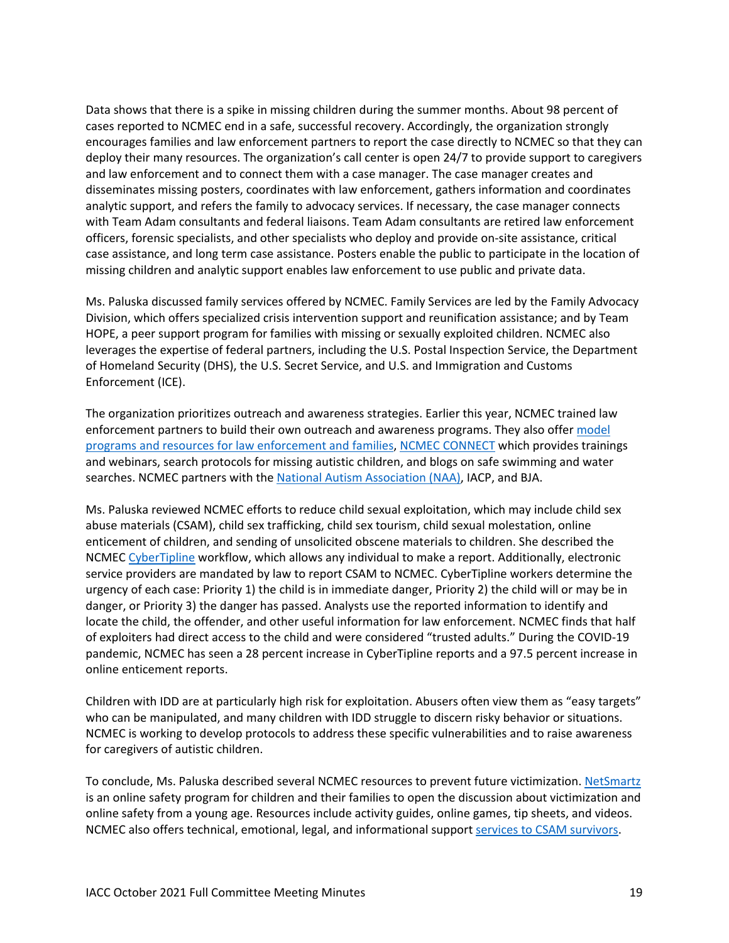Data shows that there is a spike in missing children during the summer months. About 98 percent of cases reported to NCMEC end in a safe, successful recovery. Accordingly, the organization strongly encourages families and law enforcement partners to report the case directly to NCMEC so that they can deploy their many resources. The organization's call center is open 24/7 to provide support to caregivers and law enforcement and to connect them with a case manager. The case manager creates and disseminates missing posters, coordinates with law enforcement, gathers information and coordinates analytic support, and refers the family to advocacy services. If necessary, the case manager connects with Team Adam consultants and federal liaisons. Team Adam consultants are retired law enforcement officers, forensic specialists, and other specialists who deploy and provide on-site assistance, critical case assistance, and long term case assistance. Posters enable the public to participate in the location of missing children and analytic support enables law enforcement to use public and private data.

Ms. Paluska discussed family services offered by NCMEC. Family Services are led by the Family Advocacy Division, which offers specialized crisis intervention support and reunification assistance; and by Team HOPE, a peer support program for families with missing or sexually exploited children. NCMEC also leverages the expertise of federal partners, including the U.S. Postal Inspection Service, the Department of Homeland Security (DHS), the U.S. Secret Service, and U.S. and Immigration and Customs Enforcement (ICE).

The organization prioritizes outreach and awareness strategies. Earlier this year, NCMEC trained law enforcement partners to build their own outreach and awareness programs. They also offer [model](https://www.missingkids.org/theissues/autism)  [programs and resources for law enforcement and families,](https://www.missingkids.org/theissues/autism) [NCMEC CONNECT](https://connect.missingkids.org/) which provides trainings and webinars, search protocols for missing autistic children, and blogs on safe swimming and water searches. NCMEC partners with th[e National Autism Association \(NAA\),](https://nationalautismassociation.org/) IACP, and BJA.

Ms. Paluska reviewed NCMEC efforts to reduce child sexual exploitation, which may include child sex abuse materials (CSAM), child sex trafficking, child sex tourism, child sexual molestation, online enticement of children, and sending of unsolicited obscene materials to children. She described the NCMEC [CyberTipline](https://www.missingkids.org/gethelpnow/cybertipline) workflow, which allows any individual to make a report. Additionally, electronic service providers are mandated by law to report CSAM to NCMEC. CyberTipline workers determine the urgency of each case: Priority 1) the child is in immediate danger, Priority 2) the child will or may be in danger, or Priority 3) the danger has passed. Analysts use the reported information to identify and locate the child, the offender, and other useful information for law enforcement. NCMEC finds that half of exploiters had direct access to the child and were considered "trusted adults." During the COVID-19 pandemic, NCMEC has seen a 28 percent increase in CyberTipline reports and a 97.5 percent increase in online enticement reports.

Children with IDD are at particularly high risk for exploitation. Abusers often view them as "easy targets" who can be manipulated, and many children with IDD struggle to discern risky behavior or situations. NCMEC is working to develop protocols to address these specific vulnerabilities and to raise awareness for caregivers of autistic children.

To conclude, Ms. Paluska described several NCMEC resources to prevent future victimization. [NetSmartz](https://www.missingkids.org/netsmartz/home) is an online safety program for children and their families to open the discussion about victimization and online safety from a young age. Resources include activity guides, online games, tip sheets, and videos. NCMEC also offers technical, emotional, legal, and informational support [services to CSAM survivors.](https://www.missingkids.org/gethelpnow/csam-resources)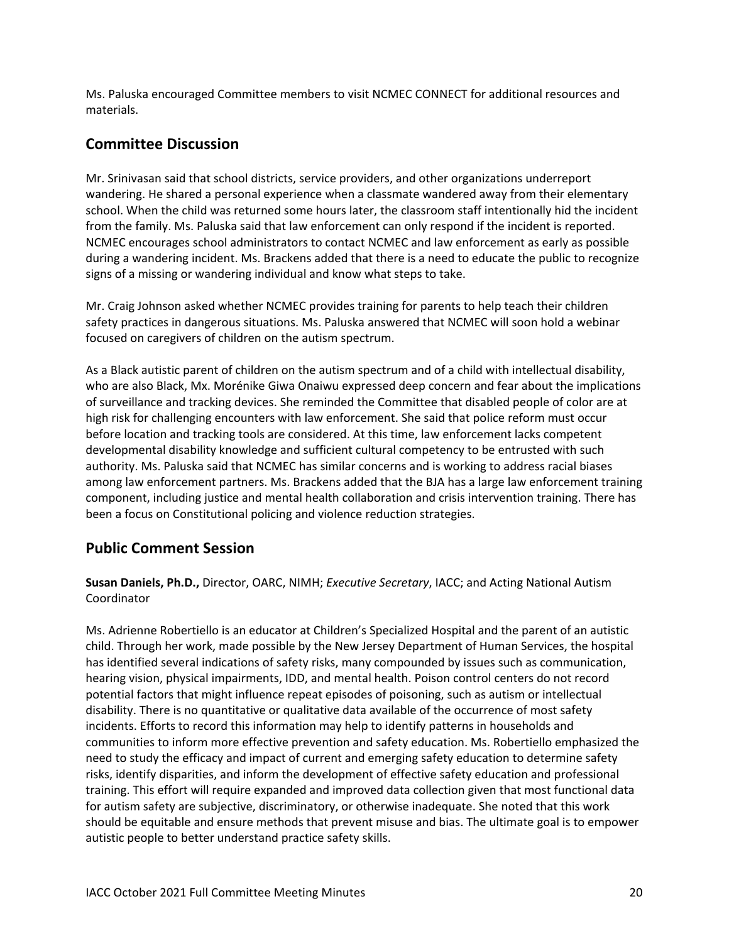Ms. Paluska encouraged Committee members to visit NCMEC CONNECT for additional resources and materials.

## **Committee Discussion**

Mr. Srinivasan said that school districts, service providers, and other organizations underreport wandering. He shared a personal experience when a classmate wandered away from their elementary school. When the child was returned some hours later, the classroom staff intentionally hid the incident from the family. Ms. Paluska said that law enforcement can only respond if the incident is reported. NCMEC encourages school administrators to contact NCMEC and law enforcement as early as possible during a wandering incident. Ms. Brackens added that there is a need to educate the public to recognize signs of a missing or wandering individual and know what steps to take.

Mr. Craig Johnson asked whether NCMEC provides training for parents to help teach their children safety practices in dangerous situations. Ms. Paluska answered that NCMEC will soon hold a webinar focused on caregivers of children on the autism spectrum.

As a Black autistic parent of children on the autism spectrum and of a child with intellectual disability, who are also Black, Mx. Morénike Giwa Onaiwu expressed deep concern and fear about the implications of surveillance and tracking devices. She reminded the Committee that disabled people of color are at high risk for challenging encounters with law enforcement. She said that police reform must occur before location and tracking tools are considered. At this time, law enforcement lacks competent developmental disability knowledge and sufficient cultural competency to be entrusted with such authority. Ms. Paluska said that NCMEC has similar concerns and is working to address racial biases among law enforcement partners. Ms. Brackens added that the BJA has a large law enforcement training component, including justice and mental health collaboration and crisis intervention training. There has been a focus on Constitutional policing and violence reduction strategies.

## **Public Comment Session**

**Susan Daniels, Ph.D.,** Director, OARC, NIMH; *Executive Secretary*, IACC; and Acting National Autism Coordinator

Ms. Adrienne Robertiello is an educator at Children's Specialized Hospital and the parent of an autistic child. Through her work, made possible by the New Jersey Department of Human Services, the hospital has identified several indications of safety risks, many compounded by issues such as communication, hearing vision, physical impairments, IDD, and mental health. Poison control centers do not record potential factors that might influence repeat episodes of poisoning, such as autism or intellectual disability. There is no quantitative or qualitative data available of the occurrence of most safety incidents. Efforts to record this information may help to identify patterns in households and communities to inform more effective prevention and safety education. Ms. Robertiello emphasized the need to study the efficacy and impact of current and emerging safety education to determine safety risks, identify disparities, and inform the development of effective safety education and professional training. This effort will require expanded and improved data collection given that most functional data for autism safety are subjective, discriminatory, or otherwise inadequate. She noted that this work should be equitable and ensure methods that prevent misuse and bias. The ultimate goal is to empower autistic people to better understand practice safety skills.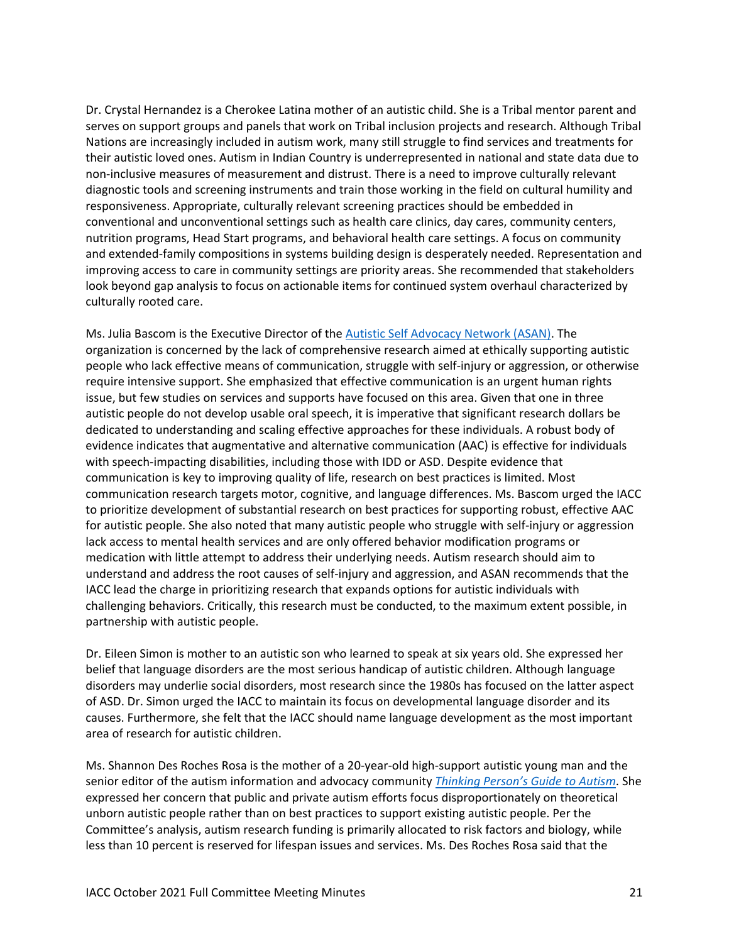Dr. Crystal Hernandez is a Cherokee Latina mother of an autistic child. She is a Tribal mentor parent and serves on support groups and panels that work on Tribal inclusion projects and research. Although Tribal Nations are increasingly included in autism work, many still struggle to find services and treatments for their autistic loved ones. Autism in Indian Country is underrepresented in national and state data due to non-inclusive measures of measurement and distrust. There is a need to improve culturally relevant diagnostic tools and screening instruments and train those working in the field on cultural humility and responsiveness. Appropriate, culturally relevant screening practices should be embedded in conventional and unconventional settings such as health care clinics, day cares, community centers, nutrition programs, Head Start programs, and behavioral health care settings. A focus on community and extended-family compositions in systems building design is desperately needed. Representation and improving access to care in community settings are priority areas. She recommended that stakeholders look beyond gap analysis to focus on actionable items for continued system overhaul characterized by culturally rooted care.

Ms. Julia Bascom is the Executive Director of the **Autistic Self Advocacy Network (ASAN)**. The organization is concerned by the lack of comprehensive research aimed at ethically supporting autistic people who lack effective means of communication, struggle with self-injury or aggression, or otherwise require intensive support. She emphasized that effective communication is an urgent human rights issue, but few studies on services and supports have focused on this area. Given that one in three autistic people do not develop usable oral speech, it is imperative that significant research dollars be dedicated to understanding and scaling effective approaches for these individuals. A robust body of evidence indicates that augmentative and alternative communication (AAC) is effective for individuals with speech-impacting disabilities, including those with IDD or ASD. Despite evidence that communication is key to improving quality of life, research on best practices is limited. Most communication research targets motor, cognitive, and language differences. Ms. Bascom urged the IACC to prioritize development of substantial research on best practices for supporting robust, effective AAC for autistic people. She also noted that many autistic people who struggle with self-injury or aggression lack access to mental health services and are only offered behavior modification programs or medication with little attempt to address their underlying needs. Autism research should aim to understand and address the root causes of self-injury and aggression, and ASAN recommends that the IACC lead the charge in prioritizing research that expands options for autistic individuals with challenging behaviors. Critically, this research must be conducted, to the maximum extent possible, in partnership with autistic people.

Dr. Eileen Simon is mother to an autistic son who learned to speak at six years old. She expressed her belief that language disorders are the most serious handicap of autistic children. Although language disorders may underlie social disorders, most research since the 1980s has focused on the latter aspect of ASD. Dr. Simon urged the IACC to maintain its focus on developmental language disorder and its causes. Furthermore, she felt that the IACC should name language development as the most important area of research for autistic children.

Ms. Shannon Des Roches Rosa is the mother of a 20-year-old high-support autistic young man and the senior editor of the autism information and advocacy community *[Thinking Person's Guide to Autism](http://www.thinkingautismguide.com/)*. She expressed her concern that public and private autism efforts focus disproportionately on theoretical unborn autistic people rather than on best practices to support existing autistic people. Per the Committee's analysis, autism research funding is primarily allocated to risk factors and biology, while less than 10 percent is reserved for lifespan issues and services. Ms. Des Roches Rosa said that the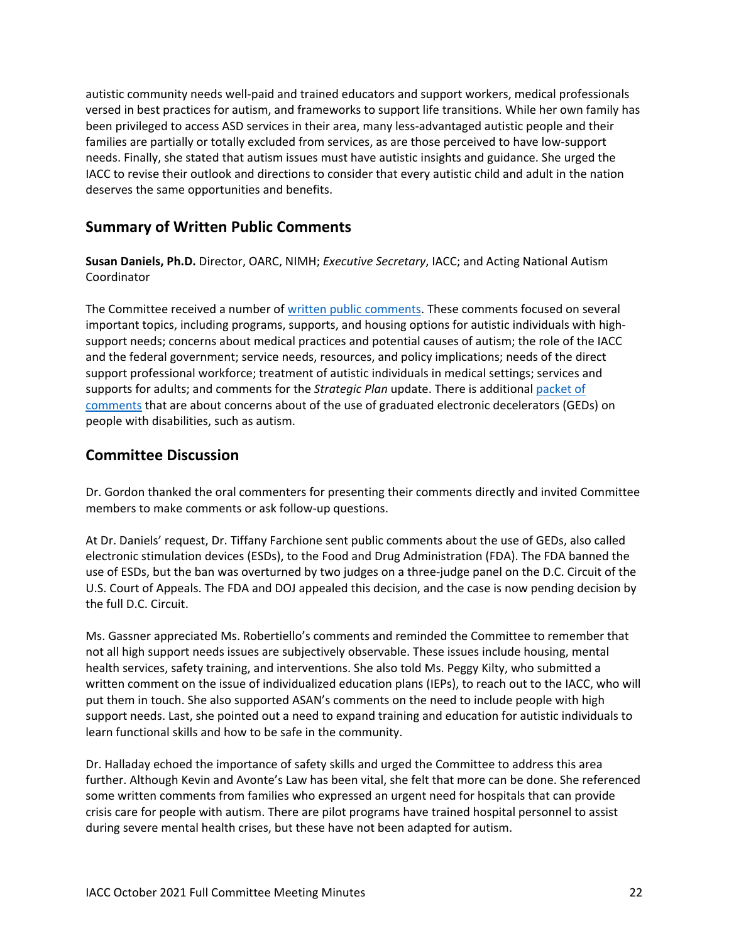autistic community needs well-paid and trained educators and support workers, medical professionals versed in best practices for autism, and frameworks to support life transitions. While her own family has been privileged to access ASD services in their area, many less-advantaged autistic people and their families are partially or totally excluded from services, as are those perceived to have low-support needs. Finally, she stated that autism issues must have autistic insights and guidance. She urged the IACC to revise their outlook and directions to consider that every autistic child and adult in the nation deserves the same opportunities and benefits.

#### **Summary of Written Public Comments**

**Susan Daniels, Ph.D.** Director, OARC, NIMH; *Executive Secretary*, IACC; and Acting National Autism Coordinator

The Committee received a number of [written public comments.](https://iacc.hhs.gov/meetings/iacc-meetings/2021/full-committee-meeting/october13-14/public_comments.pdf?ver=6) These comments focused on several important topics, including programs, supports, and housing options for autistic individuals with highsupport needs; concerns about medical practices and potential causes of autism; the role of the IACC and the federal government; service needs, resources, and policy implications; needs of the direct support professional workforce; treatment of autistic individuals in medical settings; services and supports for adults; and comments for the *Strategic Plan* update. There is additional [packet of](https://iacc.hhs.gov/meetings/iacc-meetings/2021/full-committee-meeting/october13-14/ged_public_comments.pdf)  [comments](https://iacc.hhs.gov/meetings/iacc-meetings/2021/full-committee-meeting/october13-14/ged_public_comments.pdf) that are about concerns about of the use of graduated electronic decelerators (GEDs) on people with disabilities, such as autism.

#### **Committee Discussion**

Dr. Gordon thanked the oral commenters for presenting their comments directly and invited Committee members to make comments or ask follow-up questions.

At Dr. Daniels' request, Dr. Tiffany Farchione sent public comments about the use of GEDs, also called electronic stimulation devices (ESDs), to the Food and Drug Administration (FDA). The FDA banned the use of ESDs, but the ban was overturned by two judges on a three-judge panel on the D.C. Circuit of the U.S. Court of Appeals. The FDA and DOJ appealed this decision, and the case is now pending decision by the full D.C. Circuit.

Ms. Gassner appreciated Ms. Robertiello's comments and reminded the Committee to remember that not all high support needs issues are subjectively observable. These issues include housing, mental health services, safety training, and interventions. She also told Ms. Peggy Kilty, who submitted a written comment on the issue of individualized education plans (IEPs), to reach out to the IACC, who will put them in touch. She also supported ASAN's comments on the need to include people with high support needs. Last, she pointed out a need to expand training and education for autistic individuals to learn functional skills and how to be safe in the community.

Dr. Halladay echoed the importance of safety skills and urged the Committee to address this area further. Although Kevin and Avonte's Law has been vital, she felt that more can be done. She referenced some written comments from families who expressed an urgent need for hospitals that can provide crisis care for people with autism. There are pilot programs have trained hospital personnel to assist during severe mental health crises, but these have not been adapted for autism.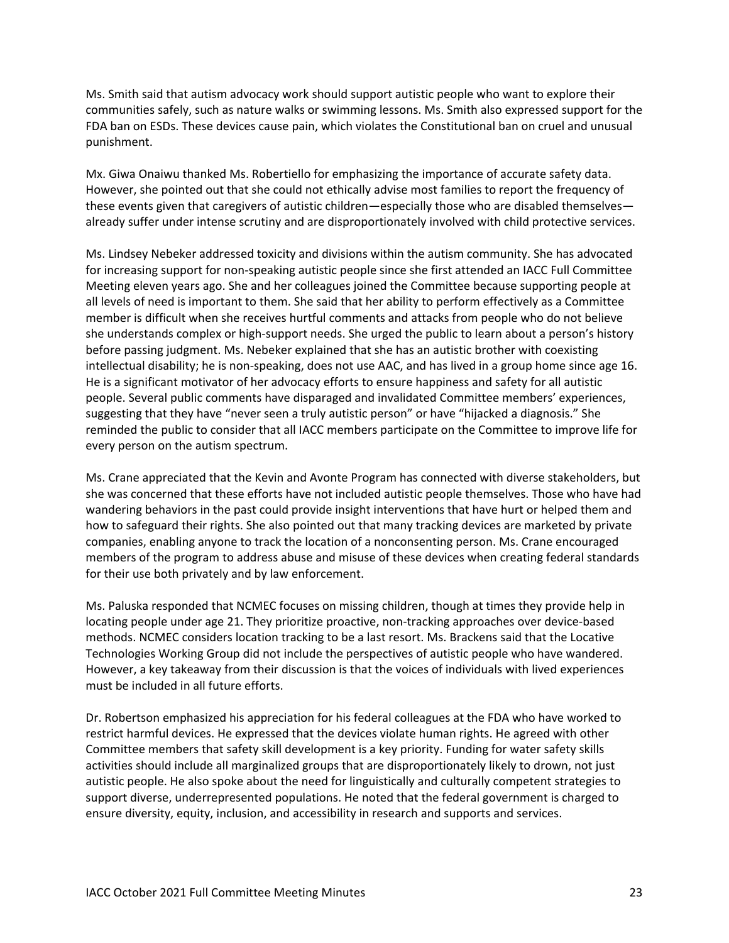Ms. Smith said that autism advocacy work should support autistic people who want to explore their communities safely, such as nature walks or swimming lessons. Ms. Smith also expressed support for the FDA ban on ESDs. These devices cause pain, which violates the Constitutional ban on cruel and unusual punishment.

Mx. Giwa Onaiwu thanked Ms. Robertiello for emphasizing the importance of accurate safety data. However, she pointed out that she could not ethically advise most families to report the frequency of these events given that caregivers of autistic children—especially those who are disabled themselves already suffer under intense scrutiny and are disproportionately involved with child protective services.

Ms. Lindsey Nebeker addressed toxicity and divisions within the autism community. She has advocated for increasing support for non-speaking autistic people since she first attended an IACC Full Committee Meeting eleven years ago. She and her colleagues joined the Committee because supporting people at all levels of need is important to them. She said that her ability to perform effectively as a Committee member is difficult when she receives hurtful comments and attacks from people who do not believe she understands complex or high-support needs. She urged the public to learn about a person's history before passing judgment. Ms. Nebeker explained that she has an autistic brother with coexisting intellectual disability; he is non-speaking, does not use AAC, and has lived in a group home since age 16. He is a significant motivator of her advocacy efforts to ensure happiness and safety for all autistic people. Several public comments have disparaged and invalidated Committee members' experiences, suggesting that they have "never seen a truly autistic person" or have "hijacked a diagnosis." She reminded the public to consider that all IACC members participate on the Committee to improve life for every person on the autism spectrum.

Ms. Crane appreciated that the Kevin and Avonte Program has connected with diverse stakeholders, but she was concerned that these efforts have not included autistic people themselves. Those who have had wandering behaviors in the past could provide insight interventions that have hurt or helped them and how to safeguard their rights. She also pointed out that many tracking devices are marketed by private companies, enabling anyone to track the location of a nonconsenting person. Ms. Crane encouraged members of the program to address abuse and misuse of these devices when creating federal standards for their use both privately and by law enforcement.

Ms. Paluska responded that NCMEC focuses on missing children, though at times they provide help in locating people under age 21. They prioritize proactive, non-tracking approaches over device-based methods. NCMEC considers location tracking to be a last resort. Ms. Brackens said that the Locative Technologies Working Group did not include the perspectives of autistic people who have wandered. However, a key takeaway from their discussion is that the voices of individuals with lived experiences must be included in all future efforts.

Dr. Robertson emphasized his appreciation for his federal colleagues at the FDA who have worked to restrict harmful devices. He expressed that the devices violate human rights. He agreed with other Committee members that safety skill development is a key priority. Funding for water safety skills activities should include all marginalized groups that are disproportionately likely to drown, not just autistic people. He also spoke about the need for linguistically and culturally competent strategies to support diverse, underrepresented populations. He noted that the federal government is charged to ensure diversity, equity, inclusion, and accessibility in research and supports and services.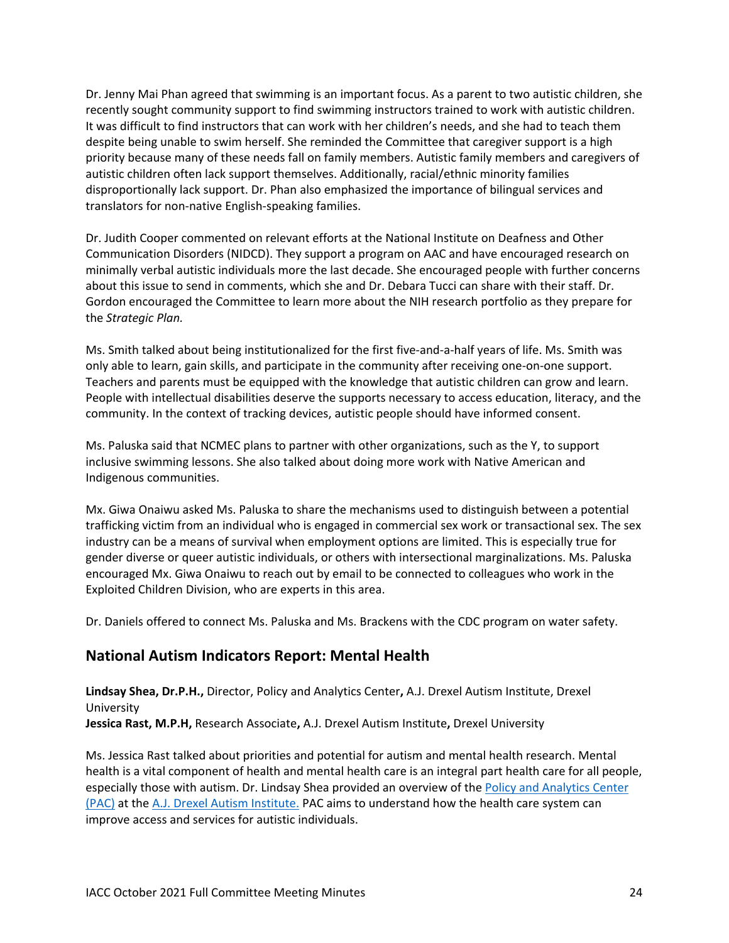Dr. Jenny Mai Phan agreed that swimming is an important focus. As a parent to two autistic children, she recently sought community support to find swimming instructors trained to work with autistic children. It was difficult to find instructors that can work with her children's needs, and she had to teach them despite being unable to swim herself. She reminded the Committee that caregiver support is a high priority because many of these needs fall on family members. Autistic family members and caregivers of autistic children often lack support themselves. Additionally, racial/ethnic minority families disproportionally lack support. Dr. Phan also emphasized the importance of bilingual services and translators for non-native English-speaking families.

Dr. Judith Cooper commented on relevant efforts at the National Institute on Deafness and Other Communication Disorders (NIDCD). They support a program on AAC and have encouraged research on minimally verbal autistic individuals more the last decade. She encouraged people with further concerns about this issue to send in comments, which she and Dr. Debara Tucci can share with their staff. Dr. Gordon encouraged the Committee to learn more about the NIH research portfolio as they prepare for the *Strategic Plan.*

Ms. Smith talked about being institutionalized for the first five-and-a-half years of life. Ms. Smith was only able to learn, gain skills, and participate in the community after receiving one-on-one support. Teachers and parents must be equipped with the knowledge that autistic children can grow and learn. People with intellectual disabilities deserve the supports necessary to access education, literacy, and the community. In the context of tracking devices, autistic people should have informed consent.

Ms. Paluska said that NCMEC plans to partner with other organizations, such as the Y, to support inclusive swimming lessons. She also talked about doing more work with Native American and Indigenous communities.

Mx. Giwa Onaiwu asked Ms. Paluska to share the mechanisms used to distinguish between a potential trafficking victim from an individual who is engaged in commercial sex work or transactional sex. The sex industry can be a means of survival when employment options are limited. This is especially true for gender diverse or queer autistic individuals, or others with intersectional marginalizations. Ms. Paluska encouraged Mx. Giwa Onaiwu to reach out by email to be connected to colleagues who work in the Exploited Children Division, who are experts in this area.

Dr. Daniels offered to connect Ms. Paluska and Ms. Brackens with the CDC program on water safety.

## **National Autism Indicators Report: Mental Health**

**Lindsay Shea, Dr.P.H.,** Director, Policy and Analytics Center**,** A.J. Drexel Autism Institute, Drexel University **Jessica Rast, M.P.H,** Research Associate**,** A.J. Drexel Autism Institute**,** Drexel University

Ms. Jessica Rast talked about priorities and potential for autism and mental health research. Mental health is a vital component of health and mental health care is an integral part health care for all people, especially those with autism. Dr. Lindsay Shea provided an overview of th[e Policy and Analytics Center](https://drexel.edu/autisminstitute/research/Policy-Analytics-Center/) (PAC) at the [A.J. Drexel Autism Institute.](https://drexel.edu/autisminstitute/) PAC aims to understand how the health care system can improve access and services for autistic individuals.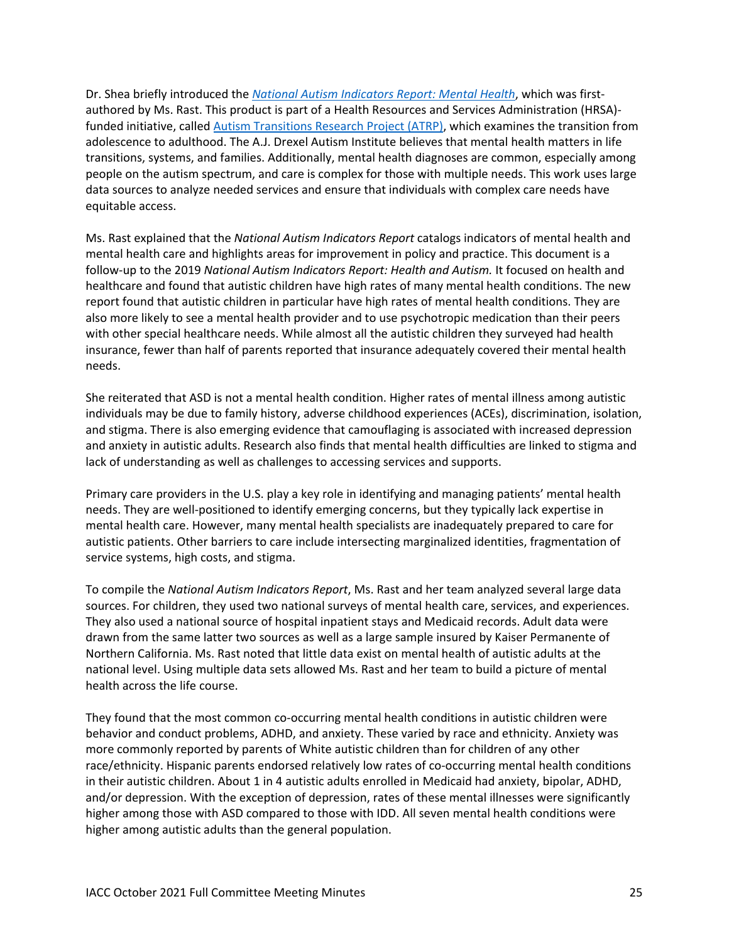Dr. Shea briefly introduced the *[National Autism Indicators Report: Mental Health](https://drexel.edu/autismoutcomes/publications-and-reports/publications/NAIR-mentalhealth/)*, which was firstauthored by Ms. Rast. This product is part of a Health Resources and Services Administration (HRSA) funded initiative, called [Autism Transitions Research Project \(ATRP\),](https://drexel.edu/autisminstitute/research/ResearchPrograminLifeCourseOutcomes/) which examines the transition from adolescence to adulthood. The A.J. Drexel Autism Institute believes that mental health matters in life transitions, systems, and families. Additionally, mental health diagnoses are common, especially among people on the autism spectrum, and care is complex for those with multiple needs. This work uses large data sources to analyze needed services and ensure that individuals with complex care needs have equitable access.

Ms. Rast explained that the *National Autism Indicators Report* catalogs indicators of mental health and mental health care and highlights areas for improvement in policy and practice. This document is a follow-up to the 2019 *National Autism Indicators Report: Health and Autism.* It focused on health and healthcare and found that autistic children have high rates of many mental health conditions. The new report found that autistic children in particular have high rates of mental health conditions. They are also more likely to see a mental health provider and to use psychotropic medication than their peers with other special healthcare needs. While almost all the autistic children they surveyed had health insurance, fewer than half of parents reported that insurance adequately covered their mental health needs.

She reiterated that ASD is not a mental health condition. Higher rates of mental illness among autistic individuals may be due to family history, adverse childhood experiences (ACEs), discrimination, isolation, and stigma. There is also emerging evidence that camouflaging is associated with increased depression and anxiety in autistic adults. Research also finds that mental health difficulties are linked to stigma and lack of understanding as well as challenges to accessing services and supports.

Primary care providers in the U.S. play a key role in identifying and managing patients' mental health needs. They are well-positioned to identify emerging concerns, but they typically lack expertise in mental health care. However, many mental health specialists are inadequately prepared to care for autistic patients. Other barriers to care include intersecting marginalized identities, fragmentation of service systems, high costs, and stigma.

To compile the *National Autism Indicators Report*, Ms. Rast and her team analyzed several large data sources. For children, they used two national surveys of mental health care, services, and experiences. They also used a national source of hospital inpatient stays and Medicaid records. Adult data were drawn from the same latter two sources as well as a large sample insured by Kaiser Permanente of Northern California. Ms. Rast noted that little data exist on mental health of autistic adults at the national level. Using multiple data sets allowed Ms. Rast and her team to build a picture of mental health across the life course.

They found that the most common co-occurring mental health conditions in autistic children were behavior and conduct problems, ADHD, and anxiety. These varied by race and ethnicity. Anxiety was more commonly reported by parents of White autistic children than for children of any other race/ethnicity. Hispanic parents endorsed relatively low rates of co-occurring mental health conditions in their autistic children. About 1 in 4 autistic adults enrolled in Medicaid had anxiety, bipolar, ADHD, and/or depression. With the exception of depression, rates of these mental illnesses were significantly higher among those with ASD compared to those with IDD. All seven mental health conditions were higher among autistic adults than the general population.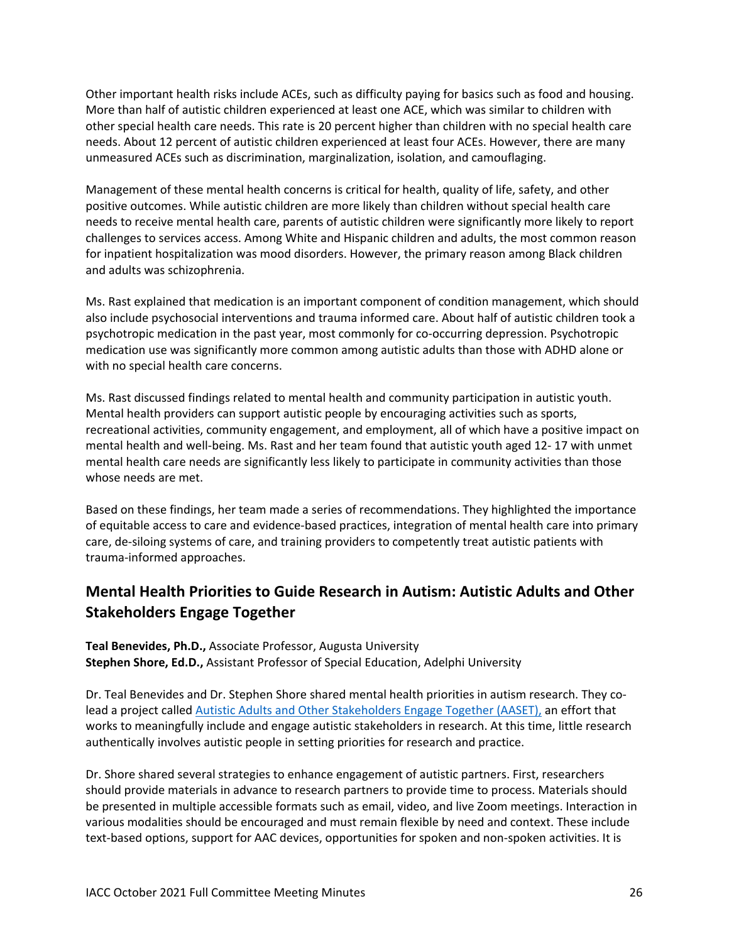Other important health risks include ACEs, such as difficulty paying for basics such as food and housing. More than half of autistic children experienced at least one ACE, which was similar to children with other special health care needs. This rate is 20 percent higher than children with no special health care needs. About 12 percent of autistic children experienced at least four ACEs. However, there are many unmeasured ACEs such as discrimination, marginalization, isolation, and camouflaging.

Management of these mental health concerns is critical for health, quality of life, safety, and other positive outcomes. While autistic children are more likely than children without special health care needs to receive mental health care, parents of autistic children were significantly more likely to report challenges to services access. Among White and Hispanic children and adults, the most common reason for inpatient hospitalization was mood disorders. However, the primary reason among Black children and adults was schizophrenia.

Ms. Rast explained that medication is an important component of condition management, which should also include psychosocial interventions and trauma informed care. About half of autistic children took a psychotropic medication in the past year, most commonly for co-occurring depression. Psychotropic medication use was significantly more common among autistic adults than those with ADHD alone or with no special health care concerns.

Ms. Rast discussed findings related to mental health and community participation in autistic youth. Mental health providers can support autistic people by encouraging activities such as sports, recreational activities, community engagement, and employment, all of which have a positive impact on mental health and well-being. Ms. Rast and her team found that autistic youth aged 12- 17 with unmet mental health care needs are significantly less likely to participate in community activities than those whose needs are met.

Based on these findings, her team made a series of recommendations. They highlighted the importance of equitable access to care and evidence-based practices, integration of mental health care into primary care, de-siloing systems of care, and training providers to competently treat autistic patients with trauma-informed approaches.

# **Mental Health Priorities to Guide Research in Autism: Autistic Adults and Other Stakeholders Engage Together**

**Teal Benevides, Ph.D.,** Associate Professor, Augusta University **Stephen Shore, Ed.D.,** Assistant Professor of Special Education, Adelphi University

Dr. Teal Benevides and Dr. Stephen Shore shared mental health priorities in autism research. They colead a project called [Autistic Adults and Other Stakeholders Engage Together \(AASET\),](https://www.pcori.org/research-results/2016/priority-setting-improve-health-outcomes-autistic-adults-and-other) an effort that works to meaningfully include and engage autistic stakeholders in research. At this time, little research authentically involves autistic people in setting priorities for research and practice.

Dr. Shore shared several strategies to enhance engagement of autistic partners. First, researchers should provide materials in advance to research partners to provide time to process. Materials should be presented in multiple accessible formats such as email, video, and live Zoom meetings. Interaction in various modalities should be encouraged and must remain flexible by need and context. These include text-based options, support for AAC devices, opportunities for spoken and non-spoken activities. It is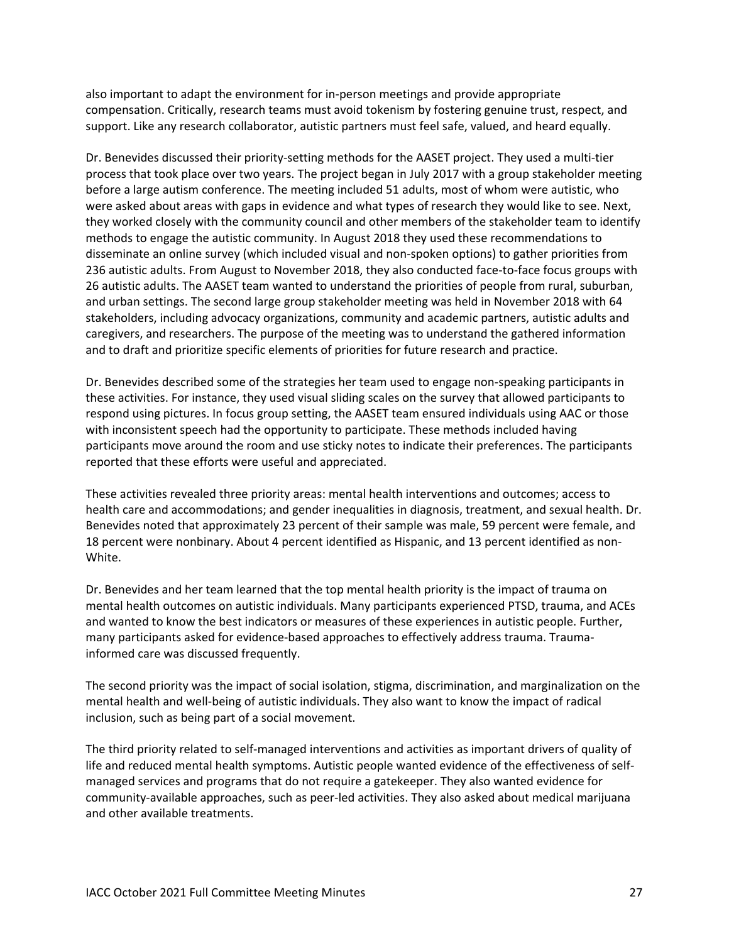also important to adapt the environment for in-person meetings and provide appropriate compensation. Critically, research teams must avoid tokenism by fostering genuine trust, respect, and support. Like any research collaborator, autistic partners must feel safe, valued, and heard equally.

Dr. Benevides discussed their priority-setting methods for the AASET project. They used a multi-tier process that took place over two years. The project began in July 2017 with a group stakeholder meeting before a large autism conference. The meeting included 51 adults, most of whom were autistic, who were asked about areas with gaps in evidence and what types of research they would like to see. Next, they worked closely with the community council and other members of the stakeholder team to identify methods to engage the autistic community. In August 2018 they used these recommendations to disseminate an online survey (which included visual and non-spoken options) to gather priorities from 236 autistic adults. From August to November 2018, they also conducted face-to-face focus groups with 26 autistic adults. The AASET team wanted to understand the priorities of people from rural, suburban, and urban settings. The second large group stakeholder meeting was held in November 2018 with 64 stakeholders, including advocacy organizations, community and academic partners, autistic adults and caregivers, and researchers. The purpose of the meeting was to understand the gathered information and to draft and prioritize specific elements of priorities for future research and practice.

Dr. Benevides described some of the strategies her team used to engage non-speaking participants in these activities. For instance, they used visual sliding scales on the survey that allowed participants to respond using pictures. In focus group setting, the AASET team ensured individuals using AAC or those with inconsistent speech had the opportunity to participate. These methods included having participants move around the room and use sticky notes to indicate their preferences. The participants reported that these efforts were useful and appreciated.

These activities revealed three priority areas: mental health interventions and outcomes; access to health care and accommodations; and gender inequalities in diagnosis, treatment, and sexual health. Dr. Benevides noted that approximately 23 percent of their sample was male, 59 percent were female, and 18 percent were nonbinary. About 4 percent identified as Hispanic, and 13 percent identified as non-White.

Dr. Benevides and her team learned that the top mental health priority is the impact of trauma on mental health outcomes on autistic individuals. Many participants experienced PTSD, trauma, and ACEs and wanted to know the best indicators or measures of these experiences in autistic people. Further, many participants asked for evidence-based approaches to effectively address trauma. Traumainformed care was discussed frequently.

The second priority was the impact of social isolation, stigma, discrimination, and marginalization on the mental health and well-being of autistic individuals. They also want to know the impact of radical inclusion, such as being part of a social movement.

The third priority related to self-managed interventions and activities as important drivers of quality of life and reduced mental health symptoms. Autistic people wanted evidence of the effectiveness of selfmanaged services and programs that do not require a gatekeeper. They also wanted evidence for community-available approaches, such as peer-led activities. They also asked about medical marijuana and other available treatments.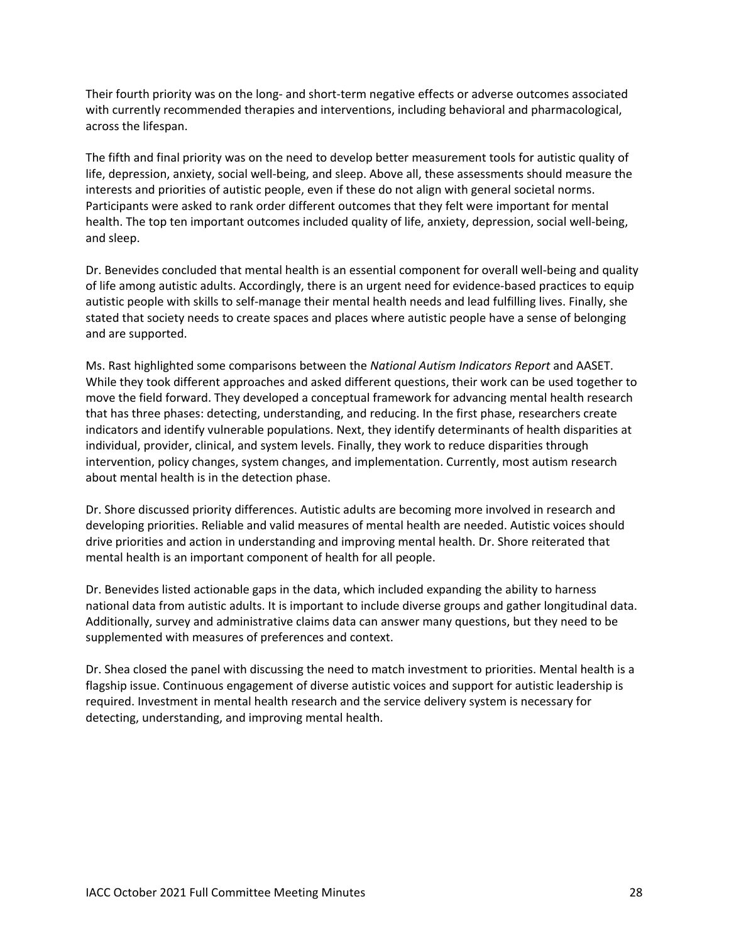Their fourth priority was on the long- and short-term negative effects or adverse outcomes associated with currently recommended therapies and interventions, including behavioral and pharmacological, across the lifespan.

The fifth and final priority was on the need to develop better measurement tools for autistic quality of life, depression, anxiety, social well-being, and sleep. Above all, these assessments should measure the interests and priorities of autistic people, even if these do not align with general societal norms. Participants were asked to rank order different outcomes that they felt were important for mental health. The top ten important outcomes included quality of life, anxiety, depression, social well-being, and sleep.

Dr. Benevides concluded that mental health is an essential component for overall well-being and quality of life among autistic adults. Accordingly, there is an urgent need for evidence-based practices to equip autistic people with skills to self-manage their mental health needs and lead fulfilling lives. Finally, she stated that society needs to create spaces and places where autistic people have a sense of belonging and are supported.

Ms. Rast highlighted some comparisons between the *National Autism Indicators Report* and AASET. While they took different approaches and asked different questions, their work can be used together to move the field forward. They developed a conceptual framework for advancing mental health research that has three phases: detecting, understanding, and reducing. In the first phase, researchers create indicators and identify vulnerable populations. Next, they identify determinants of health disparities at individual, provider, clinical, and system levels. Finally, they work to reduce disparities through intervention, policy changes, system changes, and implementation. Currently, most autism research about mental health is in the detection phase.

Dr. Shore discussed priority differences. Autistic adults are becoming more involved in research and developing priorities. Reliable and valid measures of mental health are needed. Autistic voices should drive priorities and action in understanding and improving mental health. Dr. Shore reiterated that mental health is an important component of health for all people.

Dr. Benevides listed actionable gaps in the data, which included expanding the ability to harness national data from autistic adults. It is important to include diverse groups and gather longitudinal data. Additionally, survey and administrative claims data can answer many questions, but they need to be supplemented with measures of preferences and context.

Dr. Shea closed the panel with discussing the need to match investment to priorities. Mental health is a flagship issue. Continuous engagement of diverse autistic voices and support for autistic leadership is required. Investment in mental health research and the service delivery system is necessary for detecting, understanding, and improving mental health.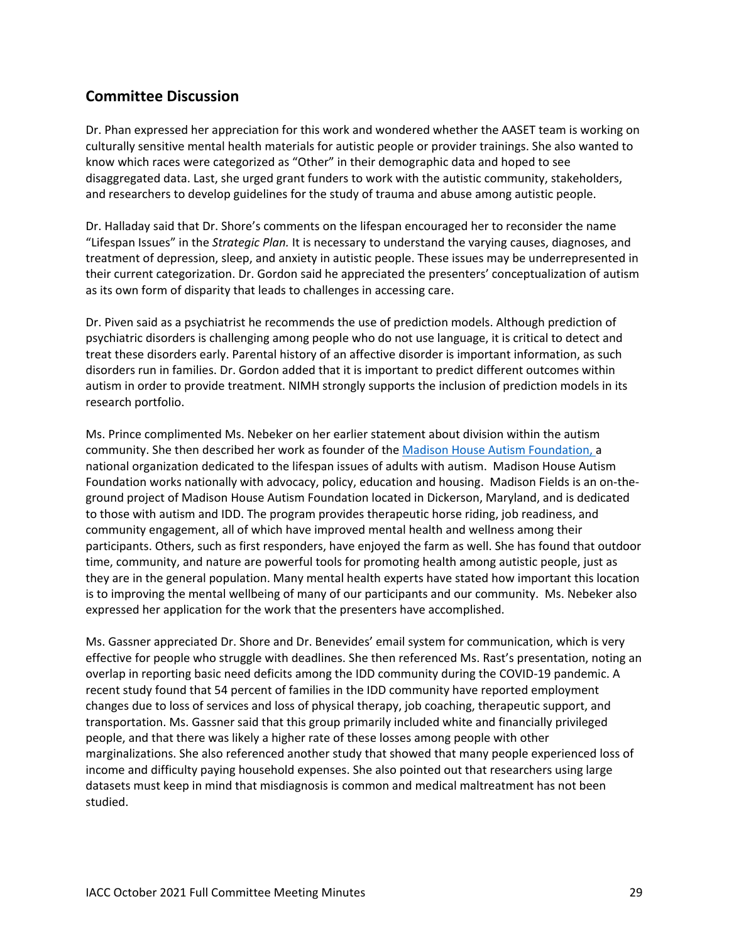# **Committee Discussion**

Dr. Phan expressed her appreciation for this work and wondered whether the AASET team is working on culturally sensitive mental health materials for autistic people or provider trainings. She also wanted to know which races were categorized as "Other" in their demographic data and hoped to see disaggregated data. Last, she urged grant funders to work with the autistic community, stakeholders, and researchers to develop guidelines for the study of trauma and abuse among autistic people.

Dr. Halladay said that Dr. Shore's comments on the lifespan encouraged her to reconsider the name "Lifespan Issues" in the *Strategic Plan.* It is necessary to understand the varying causes, diagnoses, and treatment of depression, sleep, and anxiety in autistic people. These issues may be underrepresented in their current categorization. Dr. Gordon said he appreciated the presenters' conceptualization of autism as its own form of disparity that leads to challenges in accessing care.

Dr. Piven said as a psychiatrist he recommends the use of prediction models. Although prediction of psychiatric disorders is challenging among people who do not use language, it is critical to detect and treat these disorders early. Parental history of an affective disorder is important information, as such disorders run in families. Dr. Gordon added that it is important to predict different outcomes within autism in order to provide treatment. NIMH strongly supports the inclusion of prediction models in its research portfolio.

Ms. Prince complimented Ms. Nebeker on her earlier statement about division within the autism community. She then described her work as founder of the [Madison House Autism Foundation,](http://madisonhouseautism.org/) a national organization dedicated to the lifespan issues of adults with autism. Madison House Autism Foundation works nationally with advocacy, policy, education and housing. Madison Fields is an on-theground project of Madison House Autism Foundation located in Dickerson, Maryland, and is dedicated to those with autism and IDD. The program provides therapeutic horse riding, job readiness, and community engagement, all of which have improved mental health and wellness among their participants. Others, such as first responders, have enjoyed the farm as well. She has found that outdoor time, community, and nature are powerful tools for promoting health among autistic people, just as they are in the general population. Many mental health experts have stated how important this location is to improving the mental wellbeing of many of our participants and our community. Ms. Nebeker also expressed her application for the work that the presenters have accomplished.

Ms. Gassner appreciated Dr. Shore and Dr. Benevides' email system for communication, which is very effective for people who struggle with deadlines. She then referenced Ms. Rast's presentation, noting an overlap in reporting basic need deficits among the IDD community during the COVID-19 pandemic. A recent study found that 54 percent of families in the IDD community have reported employment changes due to loss of services and loss of physical therapy, job coaching, therapeutic support, and transportation. Ms. Gassner said that this group primarily included white and financially privileged people, and that there was likely a higher rate of these losses among people with other marginalizations. She also referenced another study that showed that many people experienced loss of income and difficulty paying household expenses. She also pointed out that researchers using large datasets must keep in mind that misdiagnosis is common and medical maltreatment has not been studied.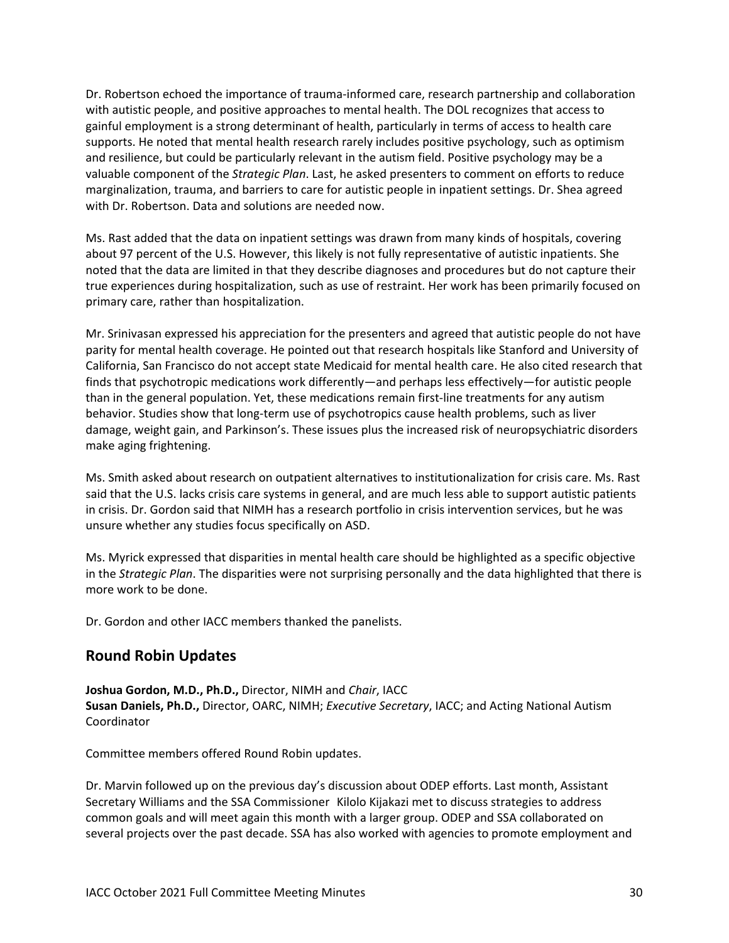Dr. Robertson echoed the importance of trauma-informed care, research partnership and collaboration with autistic people, and positive approaches to mental health. The DOL recognizes that access to gainful employment is a strong determinant of health, particularly in terms of access to health care supports. He noted that mental health research rarely includes positive psychology, such as optimism and resilience, but could be particularly relevant in the autism field. Positive psychology may be a valuable component of the *Strategic Plan*. Last, he asked presenters to comment on efforts to reduce marginalization, trauma, and barriers to care for autistic people in inpatient settings. Dr. Shea agreed with Dr. Robertson. Data and solutions are needed now.

Ms. Rast added that the data on inpatient settings was drawn from many kinds of hospitals, covering about 97 percent of the U.S. However, this likely is not fully representative of autistic inpatients. She noted that the data are limited in that they describe diagnoses and procedures but do not capture their true experiences during hospitalization, such as use of restraint. Her work has been primarily focused on primary care, rather than hospitalization.

Mr. Srinivasan expressed his appreciation for the presenters and agreed that autistic people do not have parity for mental health coverage. He pointed out that research hospitals like Stanford and University of California, San Francisco do not accept state Medicaid for mental health care. He also cited research that finds that psychotropic medications work differently—and perhaps less effectively—for autistic people than in the general population. Yet, these medications remain first-line treatments for any autism behavior. Studies show that long-term use of psychotropics cause health problems, such as liver damage, weight gain, and Parkinson's. These issues plus the increased risk of neuropsychiatric disorders make aging frightening.

Ms. Smith asked about research on outpatient alternatives to institutionalization for crisis care. Ms. Rast said that the U.S. lacks crisis care systems in general, and are much less able to support autistic patients in crisis. Dr. Gordon said that NIMH has a research portfolio in crisis intervention services, but he was unsure whether any studies focus specifically on ASD.

Ms. Myrick expressed that disparities in mental health care should be highlighted as a specific objective in the *Strategic Plan*. The disparities were not surprising personally and the data highlighted that there is more work to be done.

Dr. Gordon and other IACC members thanked the panelists.

#### **Round Robin Updates**

**Joshua Gordon, M.D., Ph.D.,** Director, NIMH and *Chair*, IACC **Susan Daniels, Ph.D.,** Director, OARC, NIMH; *Executive Secretary*, IACC; and Acting National Autism Coordinator

Committee members offered Round Robin updates.

Dr. Marvin followed up on the previous day's discussion about ODEP efforts. Last month, Assistant Secretary Williams and the SSA Commissioner Kilolo Kijakazi met to discuss strategies to address common goals and will meet again this month with a larger group. ODEP and SSA collaborated on several projects over the past decade. SSA has also worked with agencies to promote employment and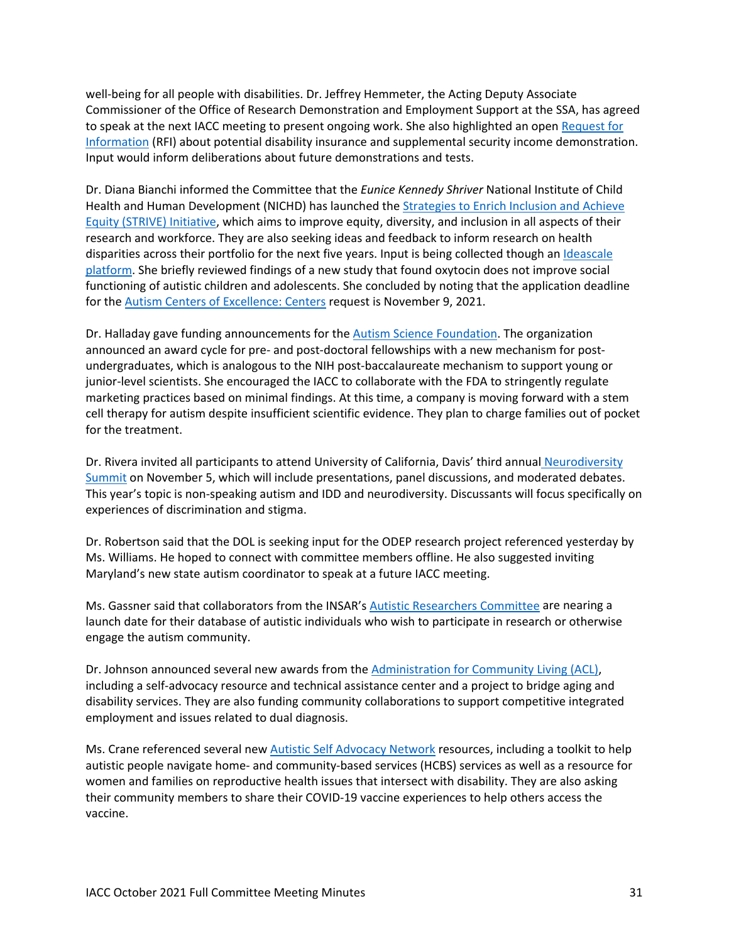well-being for all people with disabilities. Dr. Jeffrey Hemmeter, the Acting Deputy Associate Commissioner of the Office of Research Demonstration and Employment Support at the SSA, has agreed to speak at the next IACC meeting to present ongoing work. She also highlighted an open [Request for](https://www.federalregister.gov/documents/2021/09/17/2021-20158/request-for-information-on-potential-disability-insurance-and-supplemental-security-income)  [Information](https://www.federalregister.gov/documents/2021/09/17/2021-20158/request-for-information-on-potential-disability-insurance-and-supplemental-security-income) (RFI) about potential disability insurance and supplemental security income demonstration. Input would inform deliberations about future demonstrations and tests.

Dr. Diana Bianchi informed the Committee that the *Eunice Kennedy Shriver* National Institute of Child Health and Human Development (NICHD) has launched th[e Strategies to Enrich Inclusion and Achieve](https://www.nichd.nih.gov/about/org/strive)  [Equity \(STRIVE\) Initiative,](https://www.nichd.nih.gov/about/org/strive) which aims to improve equity, diversity, and inclusion in all aspects of their research and workforce. They are also seeking ideas and feedback to inform research on health disparities across their portfolio for the next five years. Input is being collected though an [Ideascale](https://nichd.ideascalegov.com/#current-campaign)  [platform.](https://nichd.ideascalegov.com/#current-campaign) She briefly reviewed findings of a new study that found oxytocin does not improve social functioning of autistic children and adolescents. She concluded by noting that the application deadline for the [Autism Centers of Excellence: Centers](https://grants.nih.gov/grants/guide/rfa-files/RFA-HD-22-008.html) request is November 9, 2021.

Dr. Halladay gave funding announcements for the **Autism Science Foundation**. The organization announced an award cycle for pre- and post-doctoral fellowships with a new mechanism for postundergraduates, which is analogous to the NIH post-baccalaureate mechanism to support young or junior-level scientists. She encouraged the IACC to collaborate with the FDA to stringently regulate marketing practices based on minimal findings. At this time, a company is moving forward with a stem cell therapy for autism despite insufficient scientific evidence. They plan to charge families out of pocket for the treatment.

Dr. Rivera invited all participants to attend University of California, Davis' third annual [Neurodiversity](https://health.ucdavis.edu/mindinstitute/events/index.html)  [Summit](https://health.ucdavis.edu/mindinstitute/events/index.html) on November 5, which will include presentations, panel discussions, and moderated debates. This year's topic is non-speaking autism and IDD and neurodiversity. Discussants will focus specifically on experiences of discrimination and stigma.

Dr. Robertson said that the DOL is seeking input for the ODEP research project referenced yesterday by Ms. Williams. He hoped to connect with committee members offline. He also suggested inviting Maryland's new state autism coordinator to speak at a future IACC meeting.

Ms. Gassner said that collaborators from the INSAR'[s Autistic Researchers Committee](https://www.autism-insar.org/page/INSARARC) are nearing a launch date for their database of autistic individuals who wish to participate in research or otherwise engage the autism community.

Dr. Johnson announced several new awards from the [Administration for Community Living \(ACL\),](https://acl.gov/) including a self-advocacy resource and technical assistance center and a project to bridge aging and disability services. They are also funding community collaborations to support competitive integrated employment and issues related to dual diagnosis.

Ms. Crane referenced several new [Autistic Self Advocacy Network](https://autisticadvocacy.org/) resources, including a toolkit to help autistic people navigate home- and community-based services (HCBS) services as well as a resource for women and families on reproductive health issues that intersect with disability. They are also asking their community members to share their COVID-19 vaccine experiences to help others access the vaccine.